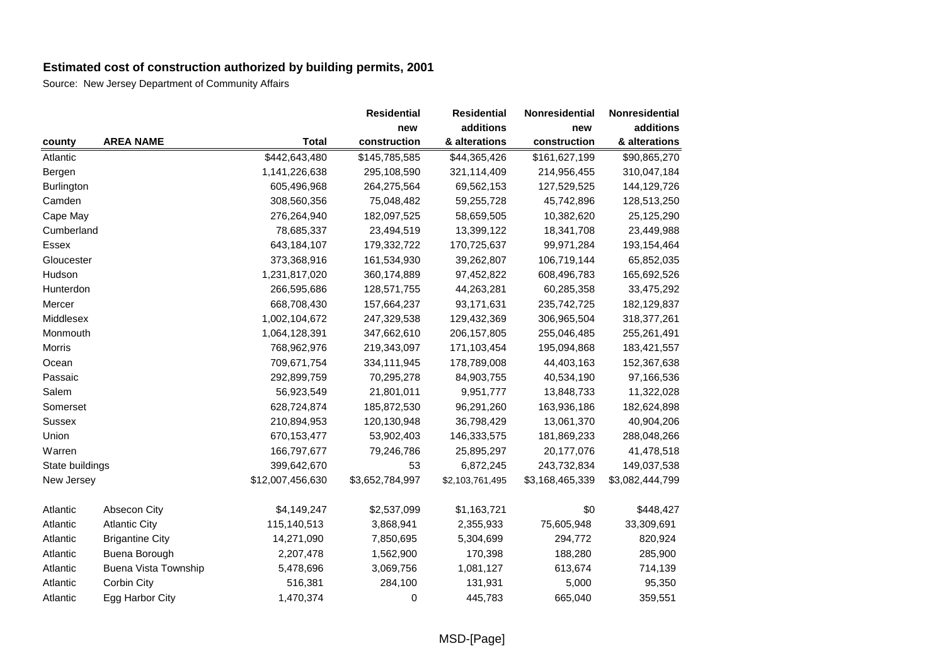|                 |                        |                  | <b>Residential</b> | <b>Residential</b> | Nonresidential  | Nonresidential  |
|-----------------|------------------------|------------------|--------------------|--------------------|-----------------|-----------------|
|                 |                        |                  | new                | additions          | new             | additions       |
| county          | <b>AREA NAME</b>       | <b>Total</b>     | construction       | & alterations      | construction    | & alterations   |
| Atlantic        |                        | \$442,643,480    | \$145,785,585      | \$44,365,426       | \$161,627,199   | \$90,865,270    |
| Bergen          |                        | 1,141,226,638    | 295,108,590        | 321,114,409        | 214,956,455     | 310,047,184     |
| Burlington      |                        | 605,496,968      | 264,275,564        | 69,562,153         | 127,529,525     | 144,129,726     |
| Camden          |                        | 308,560,356      | 75,048,482         | 59,255,728         | 45,742,896      | 128,513,250     |
| Cape May        |                        | 276,264,940      | 182,097,525        | 58,659,505         | 10,382,620      | 25,125,290      |
| Cumberland      |                        | 78,685,337       | 23,494,519         | 13,399,122         | 18,341,708      | 23,449,988      |
| Essex           |                        | 643,184,107      | 179,332,722        | 170,725,637        | 99,971,284      | 193, 154, 464   |
| Gloucester      |                        | 373,368,916      | 161,534,930        | 39,262,807         | 106,719,144     | 65,852,035      |
| Hudson          |                        | 1,231,817,020    | 360,174,889        | 97,452,822         | 608,496,783     | 165,692,526     |
| Hunterdon       |                        | 266,595,686      | 128,571,755        | 44,263,281         | 60,285,358      | 33,475,292      |
| Mercer          |                        | 668,708,430      | 157,664,237        | 93,171,631         | 235,742,725     | 182,129,837     |
| Middlesex       |                        | 1,002,104,672    | 247,329,538        | 129,432,369        | 306,965,504     | 318,377,261     |
| Monmouth        |                        | 1,064,128,391    | 347,662,610        | 206, 157, 805      | 255,046,485     | 255,261,491     |
| Morris          |                        | 768,962,976      | 219,343,097        | 171,103,454        | 195,094,868     | 183,421,557     |
| Ocean           |                        | 709,671,754      | 334,111,945        | 178,789,008        | 44,403,163      | 152,367,638     |
| Passaic         |                        | 292,899,759      | 70,295,278         | 84,903,755         | 40,534,190      | 97,166,536      |
| Salem           |                        | 56,923,549       | 21,801,011         | 9,951,777          | 13,848,733      | 11,322,028      |
| Somerset        |                        | 628,724,874      | 185,872,530        | 96,291,260         | 163,936,186     | 182,624,898     |
| <b>Sussex</b>   |                        | 210,894,953      | 120,130,948        | 36,798,429         | 13,061,370      | 40,904,206      |
| Union           |                        | 670,153,477      | 53,902,403         | 146,333,575        | 181,869,233     | 288,048,266     |
| Warren          |                        | 166,797,677      | 79,246,786         | 25,895,297         | 20,177,076      | 41,478,518      |
| State buildings |                        | 399,642,670      | 53                 | 6,872,245          | 243,732,834     | 149,037,538     |
| New Jersey      |                        | \$12,007,456,630 | \$3,652,784,997    | \$2,103,761,495    | \$3,168,465,339 | \$3,082,444,799 |
| Atlantic        | Absecon City           | \$4,149,247      | \$2,537,099        | \$1,163,721        | \$0             | \$448,427       |
| Atlantic        | <b>Atlantic City</b>   | 115,140,513      | 3,868,941          | 2,355,933          | 75,605,948      | 33,309,691      |
| Atlantic        | <b>Brigantine City</b> | 14,271,090       | 7,850,695          | 5,304,699          | 294,772         | 820,924         |
| Atlantic        | Buena Borough          | 2,207,478        | 1,562,900          | 170,398            | 188,280         | 285,900         |
| Atlantic        | Buena Vista Township   | 5,478,696        | 3,069,756          | 1,081,127          | 613,674         | 714,139         |
| Atlantic        | Corbin City            | 516,381          | 284,100            | 131,931            | 5,000           | 95,350          |
| Atlantic        | Egg Harbor City        | 1,470,374        | 0                  | 445,783            | 665,040         | 359,551         |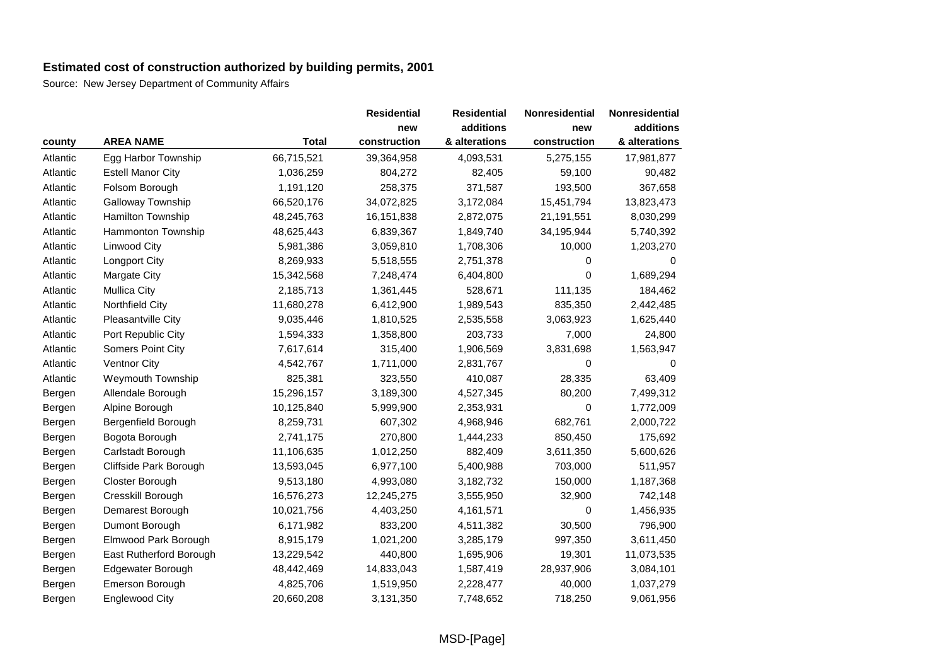|          |                          |              | <b>Residential</b> | <b>Residential</b> | Nonresidential | Nonresidential |
|----------|--------------------------|--------------|--------------------|--------------------|----------------|----------------|
|          |                          |              | new                | additions          | new            | additions      |
| county   | <b>AREA NAME</b>         | <b>Total</b> | construction       | & alterations      | construction   | & alterations  |
| Atlantic | Egg Harbor Township      | 66,715,521   | 39,364,958         | 4,093,531          | 5,275,155      | 17,981,877     |
| Atlantic | <b>Estell Manor City</b> | 1,036,259    | 804,272            | 82,405             | 59,100         | 90,482         |
| Atlantic | Folsom Borough           | 1,191,120    | 258,375            | 371,587            | 193,500        | 367,658        |
| Atlantic | Galloway Township        | 66,520,176   | 34,072,825         | 3,172,084          | 15,451,794     | 13,823,473     |
| Atlantic | Hamilton Township        | 48,245,763   | 16,151,838         | 2,872,075          | 21,191,551     | 8,030,299      |
| Atlantic | Hammonton Township       | 48,625,443   | 6,839,367          | 1,849,740          | 34,195,944     | 5,740,392      |
| Atlantic | Linwood City             | 5,981,386    | 3,059,810          | 1,708,306          | 10,000         | 1,203,270      |
| Atlantic | <b>Longport City</b>     | 8,269,933    | 5,518,555          | 2,751,378          | 0              | $\Omega$       |
| Atlantic | Margate City             | 15,342,568   | 7,248,474          | 6,404,800          | 0              | 1,689,294      |
| Atlantic | <b>Mullica City</b>      | 2,185,713    | 1,361,445          | 528,671            | 111,135        | 184,462        |
| Atlantic | Northfield City          | 11,680,278   | 6,412,900          | 1,989,543          | 835,350        | 2,442,485      |
| Atlantic | Pleasantville City       | 9,035,446    | 1,810,525          | 2,535,558          | 3,063,923      | 1,625,440      |
| Atlantic | Port Republic City       | 1,594,333    | 1,358,800          | 203,733            | 7,000          | 24,800         |
| Atlantic | Somers Point City        | 7,617,614    | 315,400            | 1,906,569          | 3,831,698      | 1,563,947      |
| Atlantic | Ventnor City             | 4,542,767    | 1,711,000          | 2,831,767          | 0              | $\Omega$       |
| Atlantic | Weymouth Township        | 825,381      | 323,550            | 410,087            | 28,335         | 63,409         |
| Bergen   | Allendale Borough        | 15,296,157   | 3,189,300          | 4,527,345          | 80,200         | 7,499,312      |
| Bergen   | Alpine Borough           | 10,125,840   | 5,999,900          | 2,353,931          | 0              | 1,772,009      |
| Bergen   | Bergenfield Borough      | 8,259,731    | 607,302            | 4,968,946          | 682,761        | 2,000,722      |
| Bergen   | Bogota Borough           | 2,741,175    | 270,800            | 1,444,233          | 850,450        | 175,692        |
| Bergen   | Carlstadt Borough        | 11,106,635   | 1,012,250          | 882,409            | 3,611,350      | 5,600,626      |
| Bergen   | Cliffside Park Borough   | 13,593,045   | 6,977,100          | 5,400,988          | 703,000        | 511,957        |
| Bergen   | Closter Borough          | 9,513,180    | 4,993,080          | 3,182,732          | 150,000        | 1,187,368      |
| Bergen   | Cresskill Borough        | 16,576,273   | 12,245,275         | 3,555,950          | 32,900         | 742,148        |
| Bergen   | Demarest Borough         | 10,021,756   | 4,403,250          | 4,161,571          | 0              | 1,456,935      |
| Bergen   | Dumont Borough           | 6,171,982    | 833,200            | 4,511,382          | 30,500         | 796,900        |
| Bergen   | Elmwood Park Borough     | 8,915,179    | 1,021,200          | 3,285,179          | 997,350        | 3,611,450      |
| Bergen   | East Rutherford Borough  | 13,229,542   | 440,800            | 1,695,906          | 19,301         | 11,073,535     |
| Bergen   | Edgewater Borough        | 48,442,469   | 14,833,043         | 1,587,419          | 28,937,906     | 3,084,101      |
| Bergen   | Emerson Borough          | 4,825,706    | 1,519,950          | 2,228,477          | 40,000         | 1,037,279      |
| Bergen   | <b>Englewood City</b>    | 20,660,208   | 3,131,350          | 7,748,652          | 718,250        | 9,061,956      |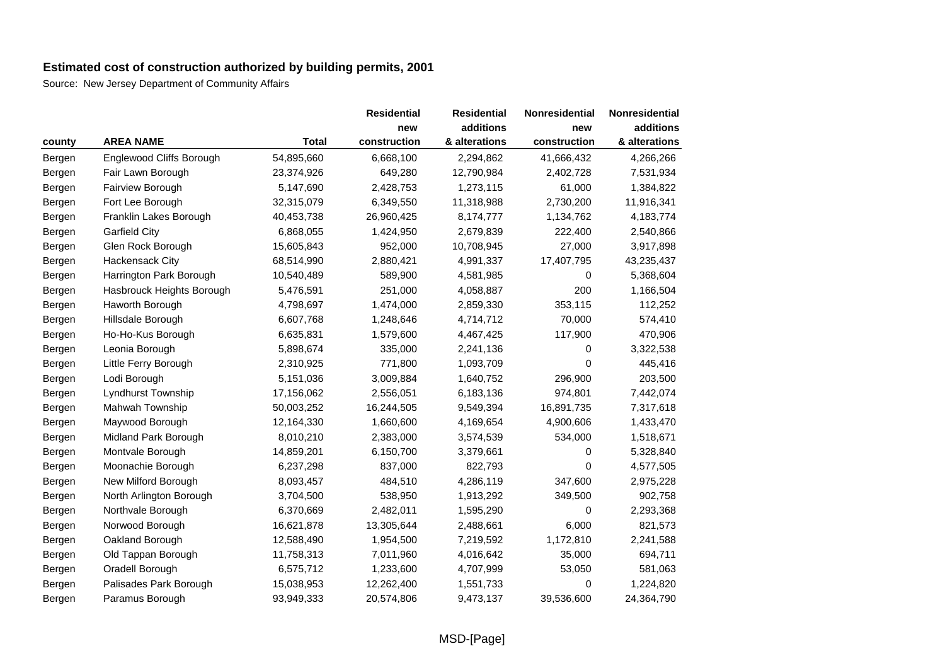|        |                           |              | <b>Residential</b> | <b>Residential</b> | Nonresidential | Nonresidential |
|--------|---------------------------|--------------|--------------------|--------------------|----------------|----------------|
|        |                           |              | new                | additions          | new            | additions      |
| county | <b>AREA NAME</b>          | <b>Total</b> | construction       | & alterations      | construction   | & alterations  |
| Bergen | Englewood Cliffs Borough  | 54,895,660   | 6,668,100          | 2,294,862          | 41,666,432     | 4,266,266      |
| Bergen | Fair Lawn Borough         | 23,374,926   | 649,280            | 12,790,984         | 2,402,728      | 7,531,934      |
| Bergen | Fairview Borough          | 5,147,690    | 2,428,753          | 1,273,115          | 61,000         | 1,384,822      |
| Bergen | Fort Lee Borough          | 32,315,079   | 6,349,550          | 11,318,988         | 2,730,200      | 11,916,341     |
| Bergen | Franklin Lakes Borough    | 40,453,738   | 26,960,425         | 8,174,777          | 1,134,762      | 4,183,774      |
| Bergen | <b>Garfield City</b>      | 6,868,055    | 1,424,950          | 2,679,839          | 222,400        | 2,540,866      |
| Bergen | Glen Rock Borough         | 15,605,843   | 952,000            | 10,708,945         | 27,000         | 3,917,898      |
| Bergen | <b>Hackensack City</b>    | 68,514,990   | 2,880,421          | 4,991,337          | 17,407,795     | 43,235,437     |
| Bergen | Harrington Park Borough   | 10,540,489   | 589,900            | 4,581,985          | 0              | 5,368,604      |
| Bergen | Hasbrouck Heights Borough | 5,476,591    | 251,000            | 4,058,887          | 200            | 1,166,504      |
| Bergen | Haworth Borough           | 4,798,697    | 1,474,000          | 2,859,330          | 353,115        | 112,252        |
| Bergen | Hillsdale Borough         | 6,607,768    | 1,248,646          | 4,714,712          | 70,000         | 574,410        |
| Bergen | Ho-Ho-Kus Borough         | 6,635,831    | 1,579,600          | 4,467,425          | 117,900        | 470,906        |
| Bergen | Leonia Borough            | 5,898,674    | 335,000            | 2,241,136          | 0              | 3,322,538      |
| Bergen | Little Ferry Borough      | 2,310,925    | 771,800            | 1,093,709          | 0              | 445,416        |
| Bergen | Lodi Borough              | 5,151,036    | 3,009,884          | 1,640,752          | 296,900        | 203,500        |
| Bergen | Lyndhurst Township        | 17,156,062   | 2,556,051          | 6,183,136          | 974,801        | 7,442,074      |
| Bergen | Mahwah Township           | 50,003,252   | 16,244,505         | 9,549,394          | 16,891,735     | 7,317,618      |
| Bergen | Maywood Borough           | 12,164,330   | 1,660,600          | 4,169,654          | 4,900,606      | 1,433,470      |
| Bergen | Midland Park Borough      | 8,010,210    | 2,383,000          | 3,574,539          | 534,000        | 1,518,671      |
| Bergen | Montvale Borough          | 14,859,201   | 6,150,700          | 3,379,661          | 0              | 5,328,840      |
| Bergen | Moonachie Borough         | 6,237,298    | 837,000            | 822,793            | 0              | 4,577,505      |
| Bergen | New Milford Borough       | 8,093,457    | 484,510            | 4,286,119          | 347,600        | 2,975,228      |
| Bergen | North Arlington Borough   | 3,704,500    | 538,950            | 1,913,292          | 349,500        | 902,758        |
| Bergen | Northvale Borough         | 6,370,669    | 2,482,011          | 1,595,290          | 0              | 2,293,368      |
| Bergen | Norwood Borough           | 16,621,878   | 13,305,644         | 2,488,661          | 6,000          | 821,573        |
| Bergen | Oakland Borough           | 12,588,490   | 1,954,500          | 7,219,592          | 1,172,810      | 2,241,588      |
| Bergen | Old Tappan Borough        | 11,758,313   | 7,011,960          | 4,016,642          | 35,000         | 694,711        |
| Bergen | Oradell Borough           | 6,575,712    | 1,233,600          | 4,707,999          | 53,050         | 581,063        |
| Bergen | Palisades Park Borough    | 15,038,953   | 12,262,400         | 1,551,733          | 0              | 1,224,820      |
| Bergen | Paramus Borough           | 93,949,333   | 20,574,806         | 9,473,137          | 39,536,600     | 24,364,790     |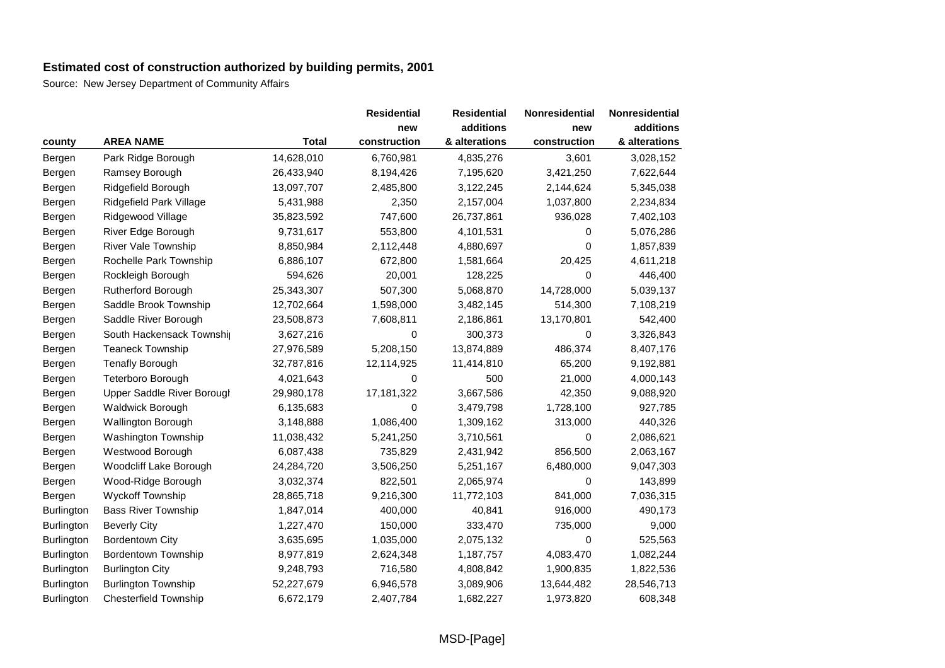|                   |                              |              | <b>Residential</b> | <b>Residential</b> | Nonresidential | Nonresidential |
|-------------------|------------------------------|--------------|--------------------|--------------------|----------------|----------------|
|                   |                              |              | new                | additions          | new            | additions      |
| county            | <b>AREA NAME</b>             | <b>Total</b> | construction       | & alterations      | construction   | & alterations  |
| Bergen            | Park Ridge Borough           | 14,628,010   | 6,760,981          | 4,835,276          | 3,601          | 3,028,152      |
| Bergen            | Ramsey Borough               | 26,433,940   | 8,194,426          | 7,195,620          | 3,421,250      | 7,622,644      |
| Bergen            | Ridgefield Borough           | 13,097,707   | 2,485,800          | 3,122,245          | 2,144,624      | 5,345,038      |
| Bergen            | Ridgefield Park Village      | 5,431,988    | 2,350              | 2,157,004          | 1,037,800      | 2,234,834      |
| Bergen            | Ridgewood Village            | 35,823,592   | 747,600            | 26,737,861         | 936,028        | 7,402,103      |
| Bergen            | River Edge Borough           | 9,731,617    | 553,800            | 4,101,531          | 0              | 5,076,286      |
| Bergen            | <b>River Vale Township</b>   | 8,850,984    | 2,112,448          | 4,880,697          | 0              | 1,857,839      |
| Bergen            | Rochelle Park Township       | 6,886,107    | 672,800            | 1,581,664          | 20,425         | 4,611,218      |
| Bergen            | Rockleigh Borough            | 594,626      | 20,001             | 128,225            | $\Omega$       | 446,400        |
| Bergen            | Rutherford Borough           | 25,343,307   | 507,300            | 5,068,870          | 14,728,000     | 5,039,137      |
| Bergen            | Saddle Brook Township        | 12,702,664   | 1,598,000          | 3,482,145          | 514,300        | 7,108,219      |
| Bergen            | Saddle River Borough         | 23,508,873   | 7,608,811          | 2,186,861          | 13,170,801     | 542,400        |
| Bergen            | South Hackensack Townshij    | 3,627,216    | 0                  | 300,373            | 0              | 3,326,843      |
| Bergen            | <b>Teaneck Township</b>      | 27,976,589   | 5,208,150          | 13,874,889         | 486,374        | 8,407,176      |
| Bergen            | <b>Tenafly Borough</b>       | 32,787,816   | 12,114,925         | 11,414,810         | 65,200         | 9,192,881      |
| Bergen            | Teterboro Borough            | 4,021,643    | 0                  | 500                | 21,000         | 4,000,143      |
| Bergen            | Upper Saddle River Borough   | 29,980,178   | 17,181,322         | 3,667,586          | 42,350         | 9,088,920      |
| Bergen            | Waldwick Borough             | 6,135,683    | 0                  | 3,479,798          | 1,728,100      | 927,785        |
| Bergen            | <b>Wallington Borough</b>    | 3,148,888    | 1,086,400          | 1,309,162          | 313,000        | 440,326        |
| Bergen            | Washington Township          | 11,038,432   | 5,241,250          | 3,710,561          | 0              | 2,086,621      |
| Bergen            | Westwood Borough             | 6,087,438    | 735,829            | 2,431,942          | 856,500        | 2,063,167      |
| Bergen            | Woodcliff Lake Borough       | 24,284,720   | 3,506,250          | 5,251,167          | 6,480,000      | 9,047,303      |
| Bergen            | Wood-Ridge Borough           | 3,032,374    | 822,501            | 2,065,974          | 0              | 143,899        |
| Bergen            | Wyckoff Township             | 28,865,718   | 9,216,300          | 11,772,103         | 841,000        | 7,036,315      |
| Burlington        | <b>Bass River Township</b>   | 1,847,014    | 400,000            | 40,841             | 916,000        | 490,173        |
| <b>Burlington</b> | <b>Beverly City</b>          | 1,227,470    | 150,000            | 333,470            | 735,000        | 9,000          |
| Burlington        | <b>Bordentown City</b>       | 3,635,695    | 1,035,000          | 2,075,132          | 0              | 525,563        |
| Burlington        | <b>Bordentown Township</b>   | 8,977,819    | 2,624,348          | 1,187,757          | 4,083,470      | 1,082,244      |
| Burlington        | <b>Burlington City</b>       | 9,248,793    | 716,580            | 4,808,842          | 1,900,835      | 1,822,536      |
| Burlington        | <b>Burlington Township</b>   | 52,227,679   | 6,946,578          | 3,089,906          | 13,644,482     | 28,546,713     |
| Burlington        | <b>Chesterfield Township</b> | 6,672,179    | 2,407,784          | 1,682,227          | 1,973,820      | 608,348        |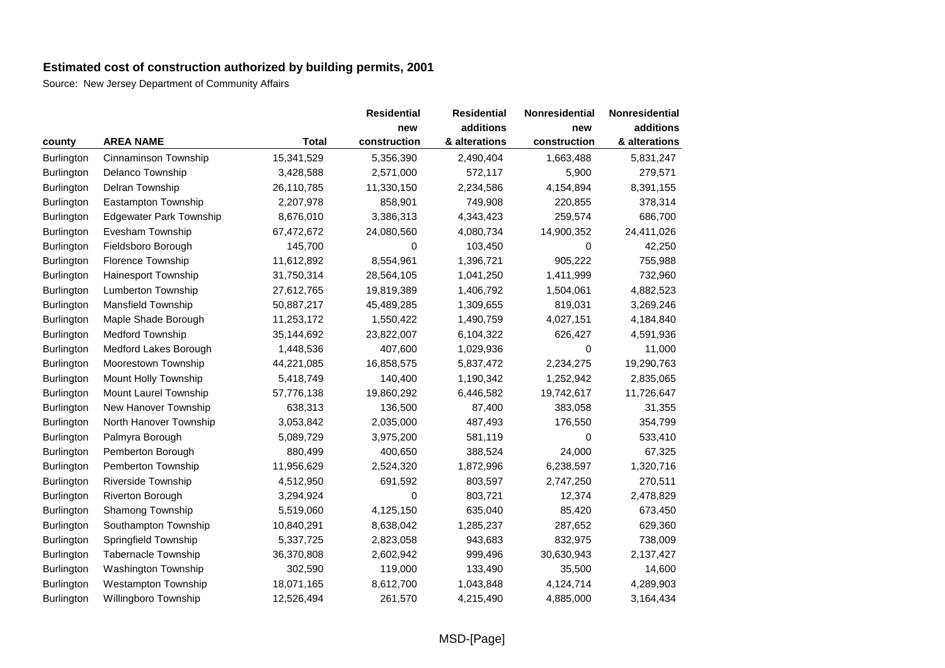|                   |                                |              | <b>Residential</b> | <b>Residential</b> | Nonresidential | Nonresidential |
|-------------------|--------------------------------|--------------|--------------------|--------------------|----------------|----------------|
|                   |                                |              | new                | additions          | new            | additions      |
| county            | <b>AREA NAME</b>               | <b>Total</b> | construction       | & alterations      | construction   | & alterations  |
| Burlington        | Cinnaminson Township           | 15,341,529   | 5,356,390          | 2,490,404          | 1,663,488      | 5,831,247      |
| Burlington        | Delanco Township               | 3,428,588    | 2,571,000          | 572,117            | 5,900          | 279,571        |
| <b>Burlington</b> | Delran Township                | 26,110,785   | 11,330,150         | 2,234,586          | 4,154,894      | 8,391,155      |
| Burlington        | Eastampton Township            | 2,207,978    | 858,901            | 749,908            | 220,855        | 378,314        |
| <b>Burlington</b> | <b>Edgewater Park Township</b> | 8,676,010    | 3,386,313          | 4,343,423          | 259,574        | 686,700        |
| Burlington        | Evesham Township               | 67,472,672   | 24,080,560         | 4,080,734          | 14,900,352     | 24,411,026     |
| Burlington        | Fieldsboro Borough             | 145,700      | 0                  | 103,450            | 0              | 42,250         |
| Burlington        | Florence Township              | 11,612,892   | 8,554,961          | 1,396,721          | 905,222        | 755,988        |
| Burlington        | Hainesport Township            | 31,750,314   | 28,564,105         | 1,041,250          | 1,411,999      | 732,960        |
| Burlington        | Lumberton Township             | 27,612,765   | 19,819,389         | 1,406,792          | 1,504,061      | 4,882,523      |
| Burlington        | <b>Mansfield Township</b>      | 50,887,217   | 45,489,285         | 1,309,655          | 819,031        | 3,269,246      |
| Burlington        | Maple Shade Borough            | 11,253,172   | 1,550,422          | 1,490,759          | 4,027,151      | 4,184,840      |
| Burlington        | <b>Medford Township</b>        | 35,144,692   | 23,822,007         | 6,104,322          | 626,427        | 4,591,936      |
| Burlington        | Medford Lakes Borough          | 1,448,536    | 407,600            | 1,029,936          | 0              | 11,000         |
| Burlington        | Moorestown Township            | 44,221,085   | 16,858,575         | 5,837,472          | 2,234,275      | 19,290,763     |
| Burlington        | Mount Holly Township           | 5,418,749    | 140,400            | 1,190,342          | 1,252,942      | 2,835,065      |
| Burlington        | Mount Laurel Township          | 57,776,138   | 19,860,292         | 6,446,582          | 19,742,617     | 11,726,647     |
| Burlington        | New Hanover Township           | 638,313      | 136,500            | 87,400             | 383,058        | 31,355         |
| Burlington        | North Hanover Township         | 3,053,842    | 2,035,000          | 487,493            | 176,550        | 354,799        |
| Burlington        | Palmyra Borough                | 5,089,729    | 3,975,200          | 581,119            | 0              | 533,410        |
| Burlington        | Pemberton Borough              | 880,499      | 400,650            | 388,524            | 24,000         | 67,325         |
| Burlington        | Pemberton Township             | 11,956,629   | 2,524,320          | 1,872,996          | 6,238,597      | 1,320,716      |
| Burlington        | Riverside Township             | 4,512,950    | 691,592            | 803,597            | 2,747,250      | 270,511        |
| <b>Burlington</b> | <b>Riverton Borough</b>        | 3,294,924    | 0                  | 803,721            | 12,374         | 2,478,829      |
| Burlington        | Shamong Township               | 5,519,060    | 4,125,150          | 635,040            | 85,420         | 673,450        |
| Burlington        | Southampton Township           | 10,840,291   | 8,638,042          | 1,285,237          | 287,652        | 629,360        |
| Burlington        | Springfield Township           | 5,337,725    | 2,823,058          | 943,683            | 832,975        | 738,009        |
| Burlington        | <b>Tabernacle Township</b>     | 36,370,808   | 2,602,942          | 999,496            | 30,630,943     | 2,137,427      |
| Burlington        | Washington Township            | 302,590      | 119,000            | 133,490            | 35,500         | 14,600         |
| <b>Burlington</b> | <b>Westampton Township</b>     | 18,071,165   | 8,612,700          | 1,043,848          | 4,124,714      | 4,289,903      |
| <b>Burlington</b> | Willingboro Township           | 12,526,494   | 261,570            | 4,215,490          | 4,885,000      | 3,164,434      |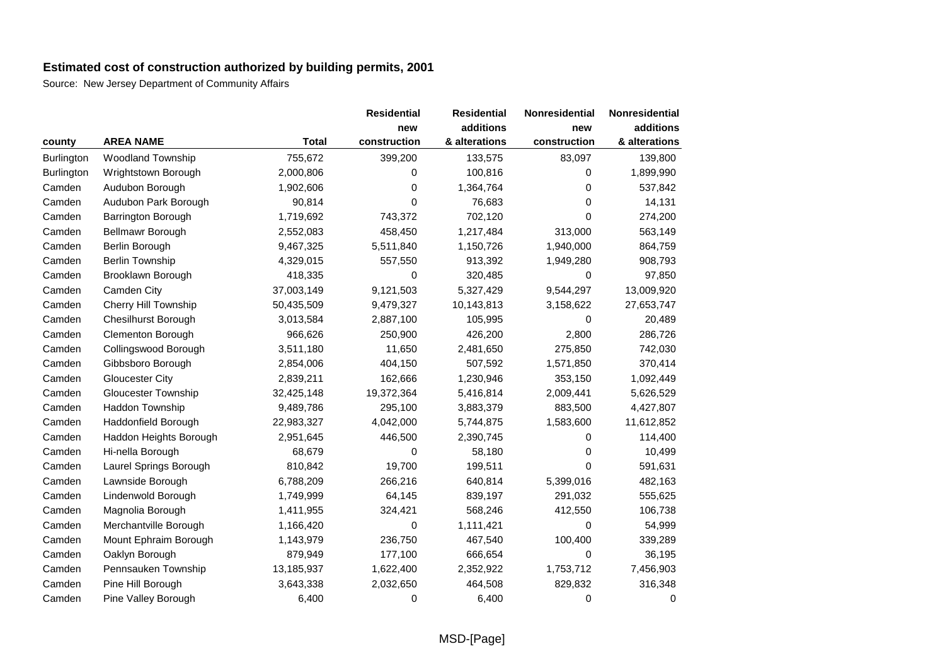|                   |                            |              | <b>Residential</b> | <b>Residential</b> | Nonresidential | Nonresidential |
|-------------------|----------------------------|--------------|--------------------|--------------------|----------------|----------------|
|                   |                            |              | new                | additions          | new            | additions      |
| county            | <b>AREA NAME</b>           | <b>Total</b> | construction       | & alterations      | construction   | & alterations  |
| <b>Burlington</b> | Woodland Township          | 755,672      | 399,200            | 133,575            | 83,097         | 139,800        |
| Burlington        | Wrightstown Borough        | 2,000,806    | 0                  | 100,816            | 0              | 1,899,990      |
| Camden            | Audubon Borough            | 1,902,606    | 0                  | 1,364,764          | 0              | 537,842        |
| Camden            | Audubon Park Borough       | 90,814       | 0                  | 76,683             | 0              | 14,131         |
| Camden            | Barrington Borough         | 1,719,692    | 743,372            | 702,120            | 0              | 274,200        |
| Camden            | Bellmawr Borough           | 2,552,083    | 458,450            | 1,217,484          | 313,000        | 563,149        |
| Camden            | Berlin Borough             | 9,467,325    | 5,511,840          | 1,150,726          | 1,940,000      | 864,759        |
| Camden            | <b>Berlin Township</b>     | 4,329,015    | 557,550            | 913,392            | 1,949,280      | 908,793        |
| Camden            | Brooklawn Borough          | 418,335      | 0                  | 320,485            | 0              | 97,850         |
| Camden            | Camden City                | 37,003,149   | 9,121,503          | 5,327,429          | 9,544,297      | 13,009,920     |
| Camden            | Cherry Hill Township       | 50,435,509   | 9,479,327          | 10,143,813         | 3,158,622      | 27,653,747     |
| Camden            | <b>Chesilhurst Borough</b> | 3,013,584    | 2,887,100          | 105,995            | 0              | 20,489         |
| Camden            | <b>Clementon Borough</b>   | 966,626      | 250,900            | 426,200            | 2,800          | 286,726        |
| Camden            | Collingswood Borough       | 3,511,180    | 11,650             | 2,481,650          | 275,850        | 742,030        |
| Camden            | Gibbsboro Borough          | 2,854,006    | 404,150            | 507,592            | 1,571,850      | 370,414        |
| Camden            | <b>Gloucester City</b>     | 2,839,211    | 162,666            | 1,230,946          | 353,150        | 1,092,449      |
| Camden            | Gloucester Township        | 32,425,148   | 19,372,364         | 5,416,814          | 2,009,441      | 5,626,529      |
| Camden            | Haddon Township            | 9,489,786    | 295,100            | 3,883,379          | 883,500        | 4,427,807      |
| Camden            | Haddonfield Borough        | 22,983,327   | 4,042,000          | 5,744,875          | 1,583,600      | 11,612,852     |
| Camden            | Haddon Heights Borough     | 2,951,645    | 446,500            | 2,390,745          | 0              | 114,400        |
| Camden            | Hi-nella Borough           | 68,679       | 0                  | 58,180             | 0              | 10,499         |
| Camden            | Laurel Springs Borough     | 810,842      | 19,700             | 199,511            | 0              | 591,631        |
| Camden            | Lawnside Borough           | 6,788,209    | 266,216            | 640,814            | 5,399,016      | 482,163        |
| Camden            | Lindenwold Borough         | 1,749,999    | 64,145             | 839,197            | 291,032        | 555,625        |
| Camden            | Magnolia Borough           | 1,411,955    | 324,421            | 568,246            | 412,550        | 106,738        |
| Camden            | Merchantville Borough      | 1,166,420    | 0                  | 1,111,421          | 0              | 54,999         |
| Camden            | Mount Ephraim Borough      | 1,143,979    | 236,750            | 467,540            | 100,400        | 339,289        |
| Camden            | Oaklyn Borough             | 879,949      | 177,100            | 666,654            | 0              | 36,195         |
| Camden            | Pennsauken Township        | 13,185,937   | 1,622,400          | 2,352,922          | 1,753,712      | 7,456,903      |
| Camden            | Pine Hill Borough          | 3,643,338    | 2,032,650          | 464,508            | 829,832        | 316,348        |
| Camden            | Pine Valley Borough        | 6,400        | 0                  | 6,400              | 0              | 0              |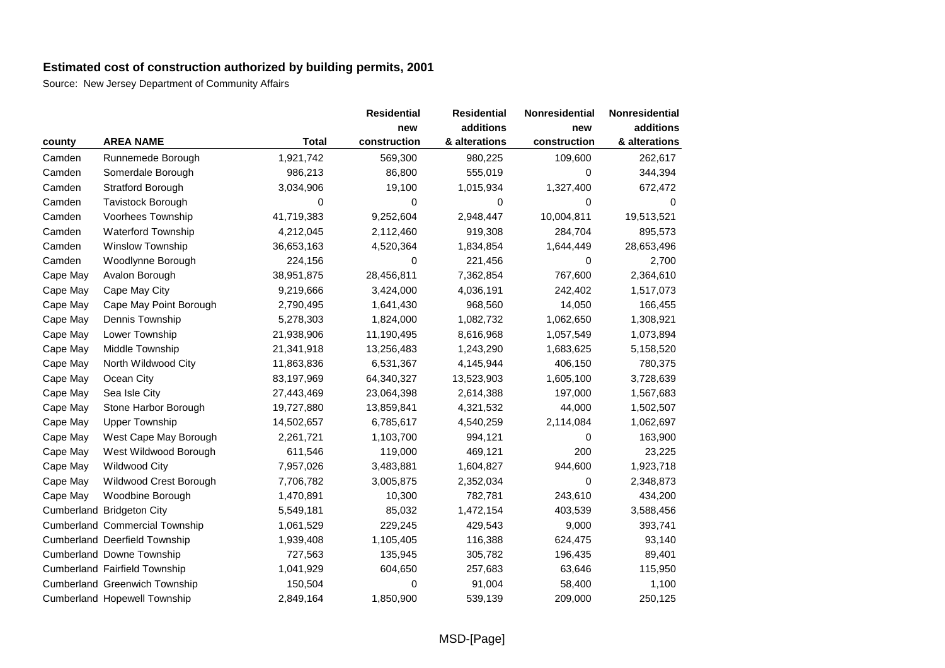|          |                                       |              | <b>Residential</b> | <b>Residential</b> | Nonresidential | Nonresidential |
|----------|---------------------------------------|--------------|--------------------|--------------------|----------------|----------------|
|          |                                       |              | new                | additions          | new            | additions      |
| county   | <b>AREA NAME</b>                      | <b>Total</b> | construction       | & alterations      | construction   | & alterations  |
| Camden   | Runnemede Borough                     | 1,921,742    | 569,300            | 980,225            | 109,600        | 262,617        |
| Camden   | Somerdale Borough                     | 986,213      | 86,800             | 555,019            | 0              | 344,394        |
| Camden   | <b>Stratford Borough</b>              | 3,034,906    | 19,100             | 1,015,934          | 1,327,400      | 672,472        |
| Camden   | <b>Tavistock Borough</b>              | 0            | 0                  | 0                  | 0              | 0              |
| Camden   | <b>Voorhees Township</b>              | 41,719,383   | 9,252,604          | 2,948,447          | 10,004,811     | 19,513,521     |
| Camden   | <b>Waterford Township</b>             | 4,212,045    | 2,112,460          | 919,308            | 284,704        | 895,573        |
| Camden   | Winslow Township                      | 36,653,163   | 4,520,364          | 1,834,854          | 1,644,449      | 28,653,496     |
| Camden   | Woodlynne Borough                     | 224,156      | 0                  | 221,456            | 0              | 2,700          |
| Cape May | Avalon Borough                        | 38,951,875   | 28,456,811         | 7,362,854          | 767,600        | 2,364,610      |
| Cape May | Cape May City                         | 9,219,666    | 3,424,000          | 4,036,191          | 242,402        | 1,517,073      |
| Cape May | Cape May Point Borough                | 2,790,495    | 1,641,430          | 968,560            | 14,050         | 166,455        |
| Cape May | Dennis Township                       | 5,278,303    | 1,824,000          | 1,082,732          | 1,062,650      | 1,308,921      |
| Cape May | Lower Township                        | 21,938,906   | 11,190,495         | 8,616,968          | 1,057,549      | 1,073,894      |
| Cape May | Middle Township                       | 21,341,918   | 13,256,483         | 1,243,290          | 1,683,625      | 5,158,520      |
| Cape May | North Wildwood City                   | 11,863,836   | 6,531,367          | 4,145,944          | 406,150        | 780,375        |
| Cape May | Ocean City                            | 83,197,969   | 64,340,327         | 13,523,903         | 1,605,100      | 3,728,639      |
| Cape May | Sea Isle City                         | 27,443,469   | 23,064,398         | 2,614,388          | 197,000        | 1,567,683      |
| Cape May | Stone Harbor Borough                  | 19,727,880   | 13,859,841         | 4,321,532          | 44,000         | 1,502,507      |
| Cape May | <b>Upper Township</b>                 | 14,502,657   | 6,785,617          | 4,540,259          | 2,114,084      | 1,062,697      |
| Cape May | West Cape May Borough                 | 2,261,721    | 1,103,700          | 994,121            | 0              | 163,900        |
| Cape May | West Wildwood Borough                 | 611,546      | 119,000            | 469,121            | 200            | 23,225         |
| Cape May | <b>Wildwood City</b>                  | 7,957,026    | 3,483,881          | 1,604,827          | 944,600        | 1,923,718      |
| Cape May | Wildwood Crest Borough                | 7,706,782    | 3,005,875          | 2,352,034          | 0              | 2,348,873      |
| Cape May | Woodbine Borough                      | 1,470,891    | 10,300             | 782,781            | 243,610        | 434,200        |
|          | Cumberland Bridgeton City             | 5,549,181    | 85,032             | 1,472,154          | 403,539        | 3,588,456      |
|          | <b>Cumberland Commercial Township</b> | 1,061,529    | 229,245            | 429,543            | 9,000          | 393,741        |
|          | Cumberland Deerfield Township         | 1,939,408    | 1,105,405          | 116,388            | 624,475        | 93,140         |
|          | Cumberland Downe Township             | 727,563      | 135,945            | 305,782            | 196,435        | 89,401         |
|          | Cumberland Fairfield Township         | 1,041,929    | 604,650            | 257,683            | 63,646         | 115,950        |
|          | Cumberland Greenwich Township         | 150,504      | 0                  | 91,004             | 58,400         | 1,100          |
|          | Cumberland Hopewell Township          | 2,849,164    | 1,850,900          | 539,139            | 209,000        | 250,125        |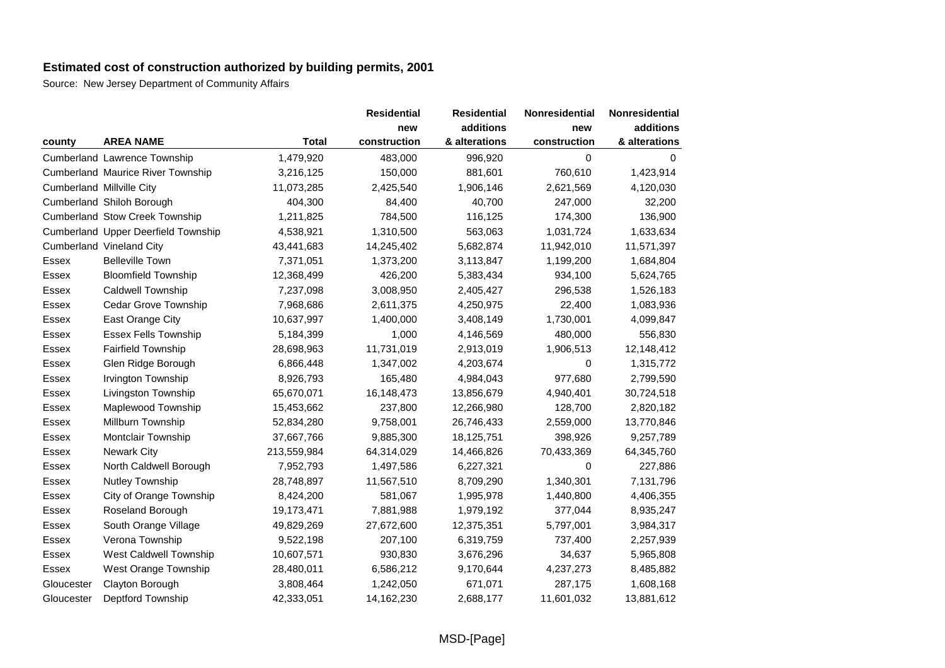|            |                                          |              | <b>Residential</b> | <b>Residential</b> | Nonresidential | Nonresidential |
|------------|------------------------------------------|--------------|--------------------|--------------------|----------------|----------------|
|            |                                          |              | new                | additions          | new            | additions      |
| county     | <b>AREA NAME</b>                         | <b>Total</b> | construction       | & alterations      | construction   | & alterations  |
|            | Cumberland Lawrence Township             | 1,479,920    | 483,000            | 996,920            | 0              | $\Omega$       |
|            | <b>Cumberland Maurice River Township</b> | 3,216,125    | 150,000            | 881,601            | 760,610        | 1,423,914      |
|            | <b>Cumberland Millville City</b>         | 11,073,285   | 2,425,540          | 1,906,146          | 2,621,569      | 4,120,030      |
|            | Cumberland Shiloh Borough                | 404,300      | 84,400             | 40,700             | 247,000        | 32,200         |
|            | <b>Cumberland Stow Creek Township</b>    | 1,211,825    | 784,500            | 116,125            | 174,300        | 136,900        |
|            | Cumberland Upper Deerfield Township      | 4,538,921    | 1,310,500          | 563,063            | 1,031,724      | 1,633,634      |
|            | Cumberland Vineland City                 | 43,441,683   | 14,245,402         | 5,682,874          | 11,942,010     | 11,571,397     |
| Essex      | <b>Belleville Town</b>                   | 7,371,051    | 1,373,200          | 3,113,847          | 1,199,200      | 1,684,804      |
| Essex      | <b>Bloomfield Township</b>               | 12,368,499   | 426,200            | 5,383,434          | 934,100        | 5,624,765      |
| Essex      | <b>Caldwell Township</b>                 | 7,237,098    | 3,008,950          | 2,405,427          | 296,538        | 1,526,183      |
| Essex      | <b>Cedar Grove Township</b>              | 7,968,686    | 2,611,375          | 4,250,975          | 22,400         | 1,083,936      |
| Essex      | East Orange City                         | 10,637,997   | 1,400,000          | 3,408,149          | 1,730,001      | 4,099,847      |
| Essex      | <b>Essex Fells Township</b>              | 5,184,399    | 1,000              | 4,146,569          | 480,000        | 556,830        |
| Essex      | Fairfield Township                       | 28,698,963   | 11,731,019         | 2,913,019          | 1,906,513      | 12,148,412     |
| Essex      | Glen Ridge Borough                       | 6,866,448    | 1,347,002          | 4,203,674          | 0              | 1,315,772      |
| Essex      | Irvington Township                       | 8,926,793    | 165,480            | 4,984,043          | 977,680        | 2,799,590      |
| Essex      | Livingston Township                      | 65,670,071   | 16,148,473         | 13,856,679         | 4,940,401      | 30,724,518     |
| Essex      | Maplewood Township                       | 15,453,662   | 237,800            | 12,266,980         | 128,700        | 2,820,182      |
| Essex      | Millburn Township                        | 52,834,280   | 9,758,001          | 26,746,433         | 2,559,000      | 13,770,846     |
| Essex      | Montclair Township                       | 37,667,766   | 9,885,300          | 18,125,751         | 398,926        | 9,257,789      |
| Essex      | <b>Newark City</b>                       | 213,559,984  | 64,314,029         | 14,466,826         | 70,433,369     | 64,345,760     |
| Essex      | North Caldwell Borough                   | 7,952,793    | 1,497,586          | 6,227,321          | 0              | 227,886        |
| Essex      | Nutley Township                          | 28,748,897   | 11,567,510         | 8,709,290          | 1,340,301      | 7,131,796      |
| Essex      | City of Orange Township                  | 8,424,200    | 581,067            | 1,995,978          | 1,440,800      | 4,406,355      |
| Essex      | Roseland Borough                         | 19,173,471   | 7,881,988          | 1,979,192          | 377,044        | 8,935,247      |
| Essex      | South Orange Village                     | 49,829,269   | 27,672,600         | 12,375,351         | 5,797,001      | 3,984,317      |
| Essex      | Verona Township                          | 9,522,198    | 207,100            | 6,319,759          | 737,400        | 2,257,939      |
| Essex      | West Caldwell Township                   | 10,607,571   | 930,830            | 3,676,296          | 34,637         | 5,965,808      |
| Essex      | West Orange Township                     | 28,480,011   | 6,586,212          | 9,170,644          | 4,237,273      | 8,485,882      |
| Gloucester | Clayton Borough                          | 3,808,464    | 1,242,050          | 671,071            | 287,175        | 1,608,168      |
| Gloucester | Deptford Township                        | 42,333,051   | 14,162,230         | 2,688,177          | 11,601,032     | 13,881,612     |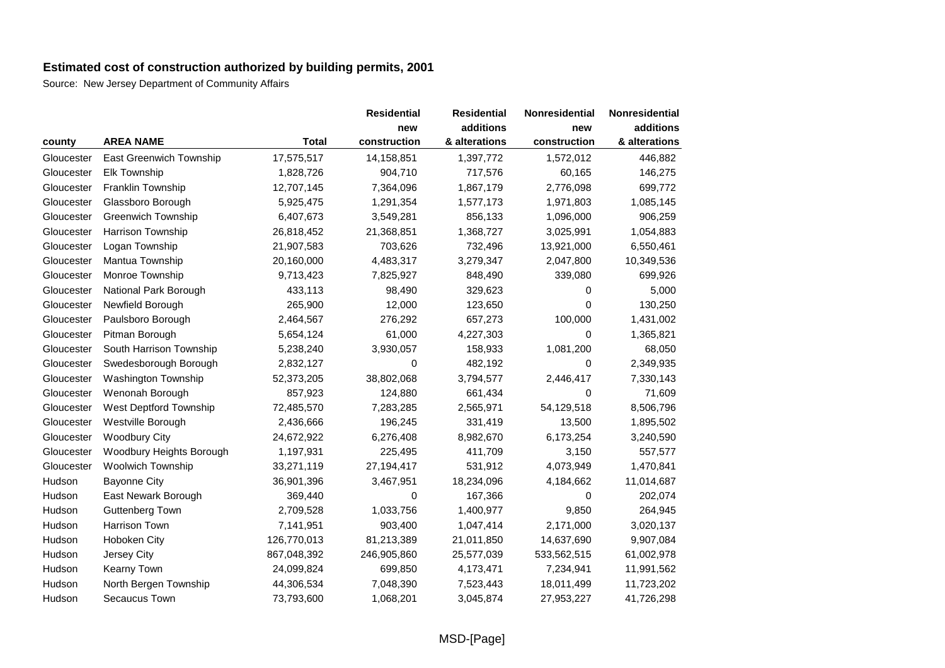|            |                                |              | <b>Residential</b> | <b>Residential</b> | <b>Nonresidential</b> | Nonresidential |
|------------|--------------------------------|--------------|--------------------|--------------------|-----------------------|----------------|
|            |                                |              | new                | additions          | new                   | additions      |
| county     | <b>AREA NAME</b>               | <b>Total</b> | construction       | & alterations      | construction          | & alterations  |
| Gloucester | <b>East Greenwich Township</b> | 17,575,517   | 14,158,851         | 1,397,772          | 1,572,012             | 446,882        |
| Gloucester | <b>Elk Township</b>            | 1,828,726    | 904,710            | 717,576            | 60,165                | 146,275        |
| Gloucester | Franklin Township              | 12,707,145   | 7,364,096          | 1,867,179          | 2,776,098             | 699,772        |
| Gloucester | Glassboro Borough              | 5,925,475    | 1,291,354          | 1,577,173          | 1,971,803             | 1,085,145      |
| Gloucester | <b>Greenwich Township</b>      | 6,407,673    | 3,549,281          | 856,133            | 1,096,000             | 906,259        |
| Gloucester | Harrison Township              | 26,818,452   | 21,368,851         | 1,368,727          | 3,025,991             | 1,054,883      |
| Gloucester | Logan Township                 | 21,907,583   | 703,626            | 732,496            | 13,921,000            | 6,550,461      |
| Gloucester | Mantua Township                | 20,160,000   | 4,483,317          | 3,279,347          | 2,047,800             | 10,349,536     |
| Gloucester | Monroe Township                | 9,713,423    | 7,825,927          | 848,490            | 339,080               | 699,926        |
| Gloucester | National Park Borough          | 433,113      | 98,490             | 329,623            | 0                     | 5,000          |
| Gloucester | Newfield Borough               | 265,900      | 12,000             | 123,650            | 0                     | 130,250        |
| Gloucester | Paulsboro Borough              | 2,464,567    | 276,292            | 657,273            | 100,000               | 1,431,002      |
| Gloucester | Pitman Borough                 | 5,654,124    | 61,000             | 4,227,303          | 0                     | 1,365,821      |
| Gloucester | South Harrison Township        | 5,238,240    | 3,930,057          | 158,933            | 1,081,200             | 68,050         |
| Gloucester | Swedesborough Borough          | 2,832,127    | 0                  | 482,192            | 0                     | 2,349,935      |
| Gloucester | Washington Township            | 52,373,205   | 38,802,068         | 3,794,577          | 2,446,417             | 7,330,143      |
| Gloucester | Wenonah Borough                | 857,923      | 124,880            | 661,434            | $\Omega$              | 71,609         |
| Gloucester | West Deptford Township         | 72,485,570   | 7,283,285          | 2,565,971          | 54,129,518            | 8,506,796      |
| Gloucester | Westville Borough              | 2,436,666    | 196,245            | 331,419            | 13,500                | 1,895,502      |
| Gloucester | <b>Woodbury City</b>           | 24,672,922   | 6,276,408          | 8,982,670          | 6,173,254             | 3,240,590      |
| Gloucester | Woodbury Heights Borough       | 1,197,931    | 225,495            | 411,709            | 3,150                 | 557,577        |
| Gloucester | Woolwich Township              | 33,271,119   | 27,194,417         | 531,912            | 4,073,949             | 1,470,841      |
| Hudson     | <b>Bayonne City</b>            | 36,901,396   | 3,467,951          | 18,234,096         | 4,184,662             | 11,014,687     |
| Hudson     | East Newark Borough            | 369,440      | 0                  | 167,366            | 0                     | 202,074        |
| Hudson     | Guttenberg Town                | 2,709,528    | 1,033,756          | 1,400,977          | 9,850                 | 264,945        |
| Hudson     | <b>Harrison Town</b>           | 7,141,951    | 903,400            | 1,047,414          | 2,171,000             | 3,020,137      |
| Hudson     | Hoboken City                   | 126,770,013  | 81,213,389         | 21,011,850         | 14,637,690            | 9,907,084      |
| Hudson     | Jersey City                    | 867,048,392  | 246,905,860        | 25,577,039         | 533,562,515           | 61,002,978     |
| Hudson     | Kearny Town                    | 24,099,824   | 699,850            | 4,173,471          | 7,234,941             | 11,991,562     |
| Hudson     | North Bergen Township          | 44,306,534   | 7,048,390          | 7,523,443          | 18,011,499            | 11,723,202     |
| Hudson     | Secaucus Town                  | 73,793,600   | 1,068,201          | 3,045,874          | 27,953,227            | 41,726,298     |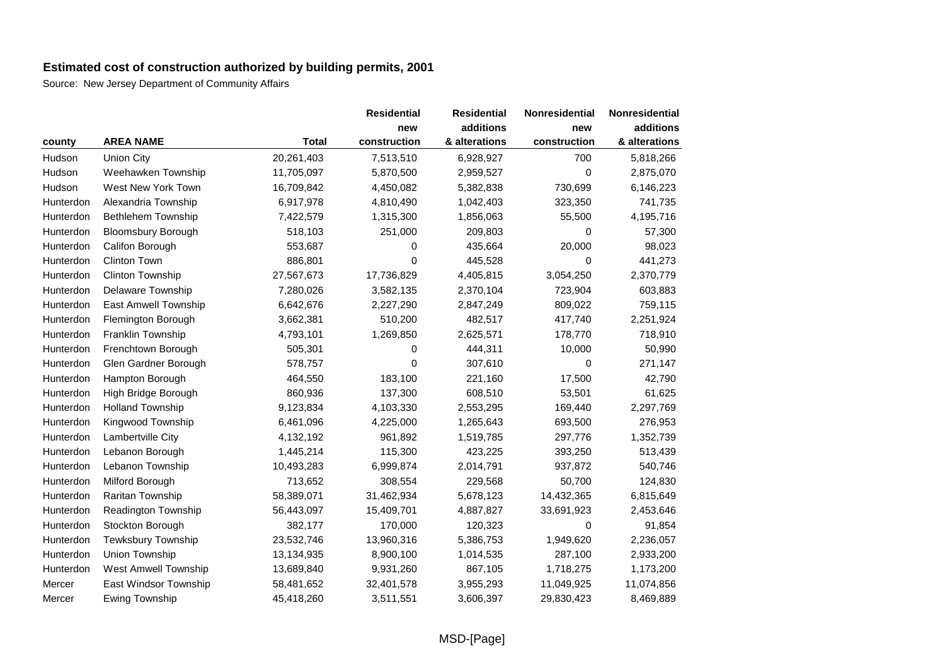|           |                             |              | <b>Residential</b> | <b>Residential</b> | <b>Nonresidential</b> | Nonresidential |
|-----------|-----------------------------|--------------|--------------------|--------------------|-----------------------|----------------|
|           |                             |              | new                | additions          | new                   | additions      |
| county    | <b>AREA NAME</b>            | <b>Total</b> | construction       | & alterations      | construction          | & alterations  |
| Hudson    | Union City                  | 20,261,403   | 7,513,510          | 6,928,927          | 700                   | 5,818,266      |
| Hudson    | Weehawken Township          | 11,705,097   | 5,870,500          | 2,959,527          | 0                     | 2,875,070      |
| Hudson    | West New York Town          | 16,709,842   | 4,450,082          | 5,382,838          | 730,699               | 6,146,223      |
| Hunterdon | Alexandria Township         | 6,917,978    | 4,810,490          | 1,042,403          | 323,350               | 741,735        |
| Hunterdon | Bethlehem Township          | 7,422,579    | 1,315,300          | 1,856,063          | 55,500                | 4,195,716      |
| Hunterdon | <b>Bloomsbury Borough</b>   | 518,103      | 251,000            | 209,803            | 0                     | 57,300         |
| Hunterdon | Califon Borough             | 553,687      | 0                  | 435,664            | 20,000                | 98,023         |
| Hunterdon | <b>Clinton Town</b>         | 886,801      | 0                  | 445,528            | 0                     | 441,273        |
| Hunterdon | Clinton Township            | 27,567,673   | 17,736,829         | 4,405,815          | 3,054,250             | 2,370,779      |
| Hunterdon | Delaware Township           | 7,280,026    | 3,582,135          | 2,370,104          | 723,904               | 603,883        |
| Hunterdon | <b>East Amwell Township</b> | 6,642,676    | 2,227,290          | 2,847,249          | 809,022               | 759,115        |
| Hunterdon | Flemington Borough          | 3,662,381    | 510,200            | 482,517            | 417,740               | 2,251,924      |
| Hunterdon | Franklin Township           | 4,793,101    | 1,269,850          | 2,625,571          | 178,770               | 718,910        |
| Hunterdon | Frenchtown Borough          | 505,301      | 0                  | 444,311            | 10,000                | 50,990         |
| Hunterdon | Glen Gardner Borough        | 578,757      | $\Omega$           | 307,610            | 0                     | 271,147        |
| Hunterdon | Hampton Borough             | 464,550      | 183,100            | 221,160            | 17,500                | 42,790         |
| Hunterdon | High Bridge Borough         | 860,936      | 137,300            | 608,510            | 53,501                | 61,625         |
| Hunterdon | <b>Holland Township</b>     | 9,123,834    | 4,103,330          | 2,553,295          | 169,440               | 2,297,769      |
| Hunterdon | Kingwood Township           | 6,461,096    | 4,225,000          | 1,265,643          | 693,500               | 276,953        |
| Hunterdon | Lambertville City           | 4,132,192    | 961,892            | 1,519,785          | 297,776               | 1,352,739      |
| Hunterdon | Lebanon Borough             | 1,445,214    | 115,300            | 423,225            | 393,250               | 513,439        |
| Hunterdon | Lebanon Township            | 10,493,283   | 6,999,874          | 2,014,791          | 937,872               | 540,746        |
| Hunterdon | Milford Borough             | 713,652      | 308,554            | 229,568            | 50,700                | 124,830        |
| Hunterdon | Raritan Township            | 58,389,071   | 31,462,934         | 5,678,123          | 14,432,365            | 6,815,649      |
| Hunterdon | Readington Township         | 56,443,097   | 15,409,701         | 4,887,827          | 33,691,923            | 2,453,646      |
| Hunterdon | Stockton Borough            | 382,177      | 170,000            | 120,323            | 0                     | 91,854         |
| Hunterdon | Tewksbury Township          | 23,532,746   | 13,960,316         | 5,386,753          | 1,949,620             | 2,236,057      |
| Hunterdon | Union Township              | 13,134,935   | 8,900,100          | 1,014,535          | 287,100               | 2,933,200      |
| Hunterdon | West Amwell Township        | 13,689,840   | 9,931,260          | 867,105            | 1,718,275             | 1,173,200      |
| Mercer    | East Windsor Township       | 58,481,652   | 32,401,578         | 3,955,293          | 11,049,925            | 11,074,856     |
| Mercer    | <b>Ewing Township</b>       | 45,418,260   | 3,511,551          | 3,606,397          | 29,830,423            | 8,469,889      |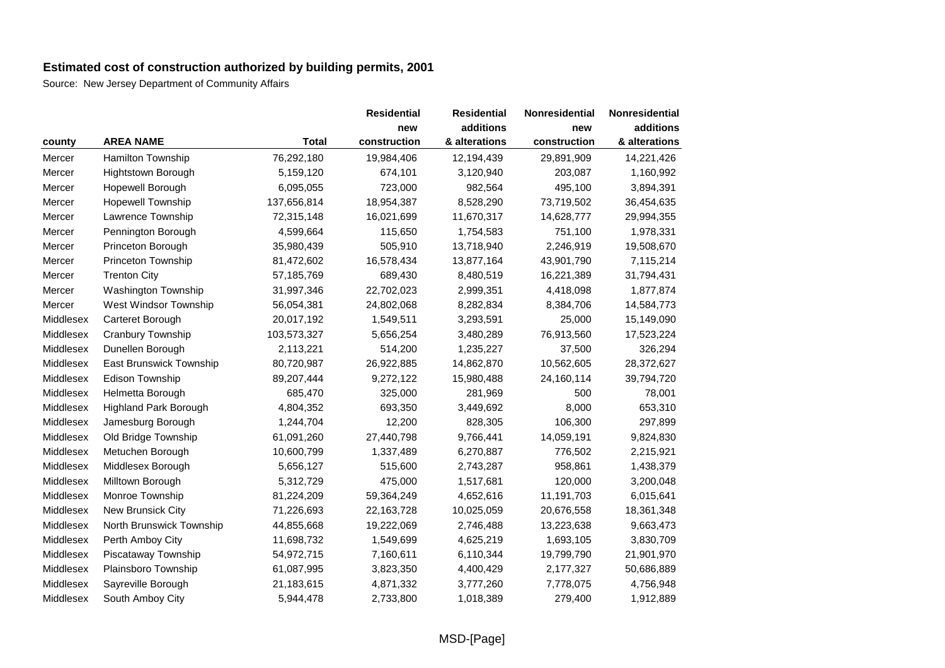|           |                              |              | <b>Residential</b> | <b>Residential</b> | Nonresidential | Nonresidential |
|-----------|------------------------------|--------------|--------------------|--------------------|----------------|----------------|
|           |                              |              | new                | additions          | new            | additions      |
| county    | <b>AREA NAME</b>             | <b>Total</b> | construction       | & alterations      | construction   | & alterations  |
| Mercer    | <b>Hamilton Township</b>     | 76,292,180   | 19,984,406         | 12,194,439         | 29,891,909     | 14,221,426     |
| Mercer    | Hightstown Borough           | 5,159,120    | 674,101            | 3,120,940          | 203,087        | 1,160,992      |
| Mercer    | Hopewell Borough             | 6,095,055    | 723,000            | 982,564            | 495,100        | 3,894,391      |
| Mercer    | <b>Hopewell Township</b>     | 137,656,814  | 18,954,387         | 8,528,290          | 73,719,502     | 36,454,635     |
| Mercer    | Lawrence Township            | 72,315,148   | 16,021,699         | 11,670,317         | 14,628,777     | 29,994,355     |
| Mercer    | Pennington Borough           | 4,599,664    | 115,650            | 1,754,583          | 751,100        | 1,978,331      |
| Mercer    | Princeton Borough            | 35,980,439   | 505,910            | 13,718,940         | 2,246,919      | 19,508,670     |
| Mercer    | Princeton Township           | 81,472,602   | 16,578,434         | 13,877,164         | 43,901,790     | 7,115,214      |
| Mercer    | <b>Trenton City</b>          | 57,185,769   | 689,430            | 8,480,519          | 16,221,389     | 31,794,431     |
| Mercer    | Washington Township          | 31,997,346   | 22,702,023         | 2,999,351          | 4,418,098      | 1,877,874      |
| Mercer    | West Windsor Township        | 56,054,381   | 24,802,068         | 8,282,834          | 8,384,706      | 14,584,773     |
| Middlesex | Carteret Borough             | 20,017,192   | 1,549,511          | 3,293,591          | 25,000         | 15,149,090     |
| Middlesex | Cranbury Township            | 103,573,327  | 5,656,254          | 3,480,289          | 76,913,560     | 17,523,224     |
| Middlesex | Dunellen Borough             | 2,113,221    | 514,200            | 1,235,227          | 37,500         | 326,294        |
| Middlesex | East Brunswick Township      | 80,720,987   | 26,922,885         | 14,862,870         | 10,562,605     | 28,372,627     |
| Middlesex | Edison Township              | 89,207,444   | 9,272,122          | 15,980,488         | 24,160,114     | 39,794,720     |
| Middlesex | Helmetta Borough             | 685,470      | 325,000            | 281,969            | 500            | 78,001         |
| Middlesex | <b>Highland Park Borough</b> | 4,804,352    | 693,350            | 3,449,692          | 8,000          | 653,310        |
| Middlesex | Jamesburg Borough            | 1,244,704    | 12,200             | 828,305            | 106,300        | 297,899        |
| Middlesex | Old Bridge Township          | 61,091,260   | 27,440,798         | 9,766,441          | 14,059,191     | 9,824,830      |
| Middlesex | Metuchen Borough             | 10,600,799   | 1,337,489          | 6,270,887          | 776,502        | 2,215,921      |
| Middlesex | Middlesex Borough            | 5,656,127    | 515,600            | 2,743,287          | 958,861        | 1,438,379      |
| Middlesex | Milltown Borough             | 5,312,729    | 475,000            | 1,517,681          | 120,000        | 3,200,048      |
| Middlesex | Monroe Township              | 81,224,209   | 59,364,249         | 4,652,616          | 11,191,703     | 6,015,641      |
| Middlesex | New Brunsick City            | 71,226,693   | 22,163,728         | 10,025,059         | 20,676,558     | 18,361,348     |
| Middlesex | North Brunswick Township     | 44,855,668   | 19,222,069         | 2,746,488          | 13,223,638     | 9,663,473      |
| Middlesex | Perth Amboy City             | 11,698,732   | 1,549,699          | 4,625,219          | 1,693,105      | 3,830,709      |
| Middlesex | Piscataway Township          | 54,972,715   | 7,160,611          | 6,110,344          | 19,799,790     | 21,901,970     |
| Middlesex | Plainsboro Township          | 61,087,995   | 3,823,350          | 4,400,429          | 2,177,327      | 50,686,889     |
| Middlesex | Sayreville Borough           | 21,183,615   | 4,871,332          | 3,777,260          | 7,778,075      | 4,756,948      |
| Middlesex | South Amboy City             | 5,944,478    | 2,733,800          | 1,018,389          | 279,400        | 1,912,889      |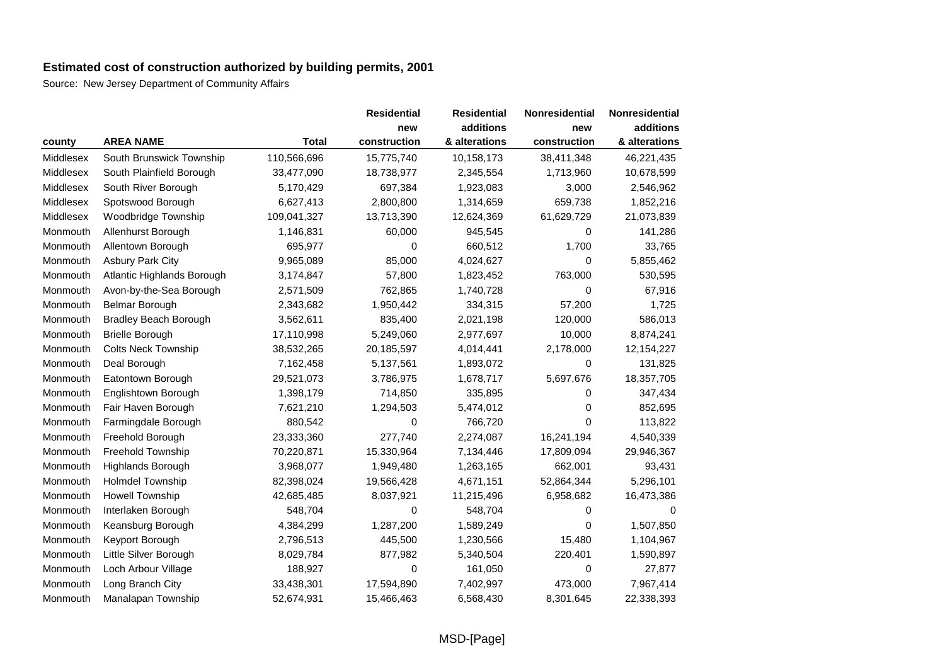|           |                              |              | <b>Residential</b> | <b>Residential</b> | Nonresidential | Nonresidential |
|-----------|------------------------------|--------------|--------------------|--------------------|----------------|----------------|
|           |                              |              | new                | additions          | new            | additions      |
| county    | <b>AREA NAME</b>             | <b>Total</b> | construction       | & alterations      | construction   | & alterations  |
| Middlesex | South Brunswick Township     | 110,566,696  | 15,775,740         | 10,158,173         | 38,411,348     | 46,221,435     |
| Middlesex | South Plainfield Borough     | 33,477,090   | 18,738,977         | 2,345,554          | 1,713,960      | 10,678,599     |
| Middlesex | South River Borough          | 5,170,429    | 697,384            | 1,923,083          | 3,000          | 2,546,962      |
| Middlesex | Spotswood Borough            | 6,627,413    | 2,800,800          | 1,314,659          | 659,738        | 1,852,216      |
| Middlesex | Woodbridge Township          | 109,041,327  | 13,713,390         | 12,624,369         | 61,629,729     | 21,073,839     |
| Monmouth  | Allenhurst Borough           | 1,146,831    | 60,000             | 945,545            | 0              | 141,286        |
| Monmouth  | Allentown Borough            | 695,977      | $\mathbf 0$        | 660,512            | 1,700          | 33,765         |
| Monmouth  | <b>Asbury Park City</b>      | 9,965,089    | 85,000             | 4,024,627          | 0              | 5,855,462      |
| Monmouth  | Atlantic Highlands Borough   | 3,174,847    | 57,800             | 1,823,452          | 763,000        | 530,595        |
| Monmouth  | Avon-by-the-Sea Borough      | 2,571,509    | 762,865            | 1,740,728          | 0              | 67,916         |
| Monmouth  | <b>Belmar Borough</b>        | 2,343,682    | 1,950,442          | 334,315            | 57,200         | 1,725          |
| Monmouth  | <b>Bradley Beach Borough</b> | 3,562,611    | 835,400            | 2,021,198          | 120,000        | 586,013        |
| Monmouth  | <b>Brielle Borough</b>       | 17,110,998   | 5,249,060          | 2,977,697          | 10,000         | 8,874,241      |
| Monmouth  | <b>Colts Neck Township</b>   | 38,532,265   | 20,185,597         | 4,014,441          | 2,178,000      | 12,154,227     |
| Monmouth  | Deal Borough                 | 7,162,458    | 5,137,561          | 1,893,072          | 0              | 131,825        |
| Monmouth  | Eatontown Borough            | 29,521,073   | 3,786,975          | 1,678,717          | 5,697,676      | 18,357,705     |
| Monmouth  | Englishtown Borough          | 1,398,179    | 714,850            | 335,895            | 0              | 347,434        |
| Monmouth  | Fair Haven Borough           | 7,621,210    | 1,294,503          | 5,474,012          | 0              | 852,695        |
| Monmouth  | Farmingdale Borough          | 880,542      | 0                  | 766,720            | 0              | 113,822        |
| Monmouth  | Freehold Borough             | 23,333,360   | 277,740            | 2,274,087          | 16,241,194     | 4,540,339      |
| Monmouth  | <b>Freehold Township</b>     | 70,220,871   | 15,330,964         | 7,134,446          | 17,809,094     | 29,946,367     |
| Monmouth  | Highlands Borough            | 3,968,077    | 1,949,480          | 1,263,165          | 662,001        | 93,431         |
| Monmouth  | <b>Holmdel Township</b>      | 82,398,024   | 19,566,428         | 4,671,151          | 52,864,344     | 5,296,101      |
| Monmouth  | <b>Howell Township</b>       | 42,685,485   | 8,037,921          | 11,215,496         | 6,958,682      | 16,473,386     |
| Monmouth  | Interlaken Borough           | 548,704      | 0                  | 548,704            | 0              | 0              |
| Monmouth  | Keansburg Borough            | 4,384,299    | 1,287,200          | 1,589,249          | 0              | 1,507,850      |
| Monmouth  | Keyport Borough              | 2,796,513    | 445,500            | 1,230,566          | 15,480         | 1,104,967      |
| Monmouth  | Little Silver Borough        | 8,029,784    | 877,982            | 5,340,504          | 220,401        | 1,590,897      |
| Monmouth  | Loch Arbour Village          | 188,927      | 0                  | 161,050            | 0              | 27,877         |
| Monmouth  | Long Branch City             | 33,438,301   | 17,594,890         | 7,402,997          | 473,000        | 7,967,414      |
| Monmouth  | Manalapan Township           | 52,674,931   | 15,466,463         | 6,568,430          | 8,301,645      | 22,338,393     |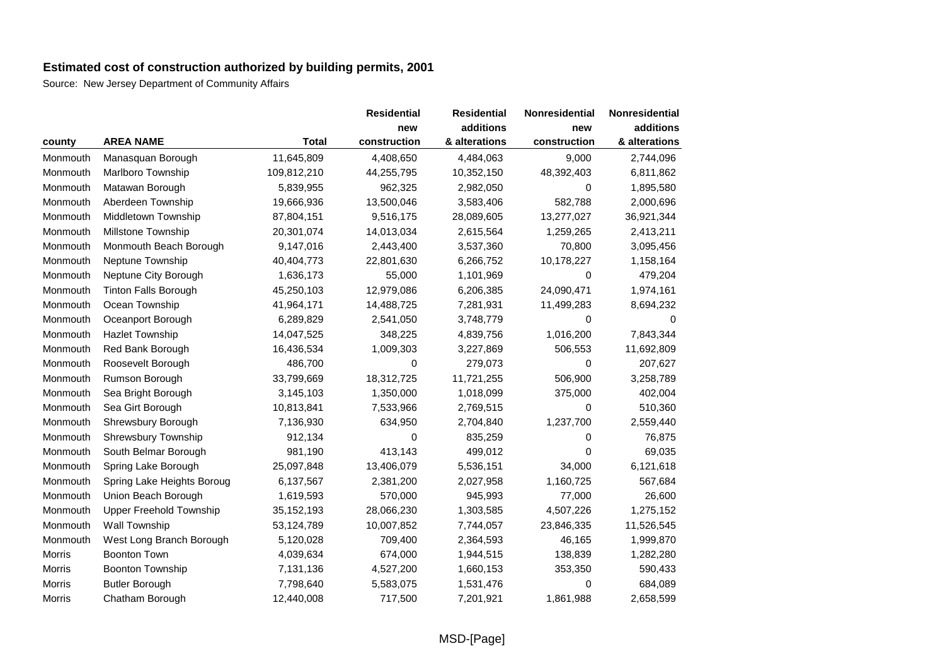|          |                                |              | <b>Residential</b> | <b>Residential</b> | Nonresidential | Nonresidential |
|----------|--------------------------------|--------------|--------------------|--------------------|----------------|----------------|
|          |                                |              | new                | additions          | new            | additions      |
| county   | <b>AREA NAME</b>               | <b>Total</b> | construction       | & alterations      | construction   | & alterations  |
| Monmouth | Manasquan Borough              | 11,645,809   | 4,408,650          | 4,484,063          | 9,000          | 2,744,096      |
| Monmouth | Marlboro Township              | 109,812,210  | 44,255,795         | 10,352,150         | 48,392,403     | 6,811,862      |
| Monmouth | Matawan Borough                | 5,839,955    | 962,325            | 2,982,050          | 0              | 1,895,580      |
| Monmouth | Aberdeen Township              | 19,666,936   | 13,500,046         | 3,583,406          | 582,788        | 2,000,696      |
| Monmouth | Middletown Township            | 87,804,151   | 9,516,175          | 28,089,605         | 13,277,027     | 36,921,344     |
| Monmouth | Millstone Township             | 20,301,074   | 14,013,034         | 2,615,564          | 1,259,265      | 2,413,211      |
| Monmouth | Monmouth Beach Borough         | 9,147,016    | 2,443,400          | 3,537,360          | 70,800         | 3,095,456      |
| Monmouth | Neptune Township               | 40,404,773   | 22,801,630         | 6,266,752          | 10,178,227     | 1,158,164      |
| Monmouth | Neptune City Borough           | 1,636,173    | 55,000             | 1,101,969          | 0              | 479,204        |
| Monmouth | <b>Tinton Falls Borough</b>    | 45,250,103   | 12,979,086         | 6,206,385          | 24,090,471     | 1,974,161      |
| Monmouth | Ocean Township                 | 41,964,171   | 14,488,725         | 7,281,931          | 11,499,283     | 8,694,232      |
| Monmouth | Oceanport Borough              | 6,289,829    | 2,541,050          | 3,748,779          | 0              | 0              |
| Monmouth | Hazlet Township                | 14,047,525   | 348,225            | 4,839,756          | 1,016,200      | 7,843,344      |
| Monmouth | Red Bank Borough               | 16,436,534   | 1,009,303          | 3,227,869          | 506,553        | 11,692,809     |
| Monmouth | Roosevelt Borough              | 486,700      | 0                  | 279,073            | 0              | 207,627        |
| Monmouth | Rumson Borough                 | 33,799,669   | 18,312,725         | 11,721,255         | 506,900        | 3,258,789      |
| Monmouth | Sea Bright Borough             | 3,145,103    | 1,350,000          | 1,018,099          | 375,000        | 402,004        |
| Monmouth | Sea Girt Borough               | 10,813,841   | 7,533,966          | 2,769,515          | $\Omega$       | 510,360        |
| Monmouth | Shrewsbury Borough             | 7,136,930    | 634,950            | 2,704,840          | 1,237,700      | 2,559,440      |
| Monmouth | <b>Shrewsbury Township</b>     | 912,134      | 0                  | 835,259            | 0              | 76,875         |
| Monmouth | South Belmar Borough           | 981,190      | 413,143            | 499,012            | 0              | 69,035         |
| Monmouth | Spring Lake Borough            | 25,097,848   | 13,406,079         | 5,536,151          | 34,000         | 6,121,618      |
| Monmouth | Spring Lake Heights Boroug     | 6,137,567    | 2,381,200          | 2,027,958          | 1,160,725      | 567,684        |
| Monmouth | Union Beach Borough            | 1,619,593    | 570,000            | 945,993            | 77,000         | 26,600         |
| Monmouth | <b>Upper Freehold Township</b> | 35, 152, 193 | 28,066,230         | 1,303,585          | 4,507,226      | 1,275,152      |
| Monmouth | Wall Township                  | 53,124,789   | 10,007,852         | 7,744,057          | 23,846,335     | 11,526,545     |
| Monmouth | West Long Branch Borough       | 5,120,028    | 709,400            | 2,364,593          | 46,165         | 1,999,870      |
| Morris   | <b>Boonton Town</b>            | 4,039,634    | 674,000            | 1,944,515          | 138,839        | 1,282,280      |
| Morris   | Boonton Township               | 7,131,136    | 4,527,200          | 1,660,153          | 353,350        | 590,433        |
| Morris   | <b>Butler Borough</b>          | 7,798,640    | 5,583,075          | 1,531,476          | 0              | 684,089        |
| Morris   | Chatham Borough                | 12,440,008   | 717,500            | 7,201,921          | 1,861,988      | 2,658,599      |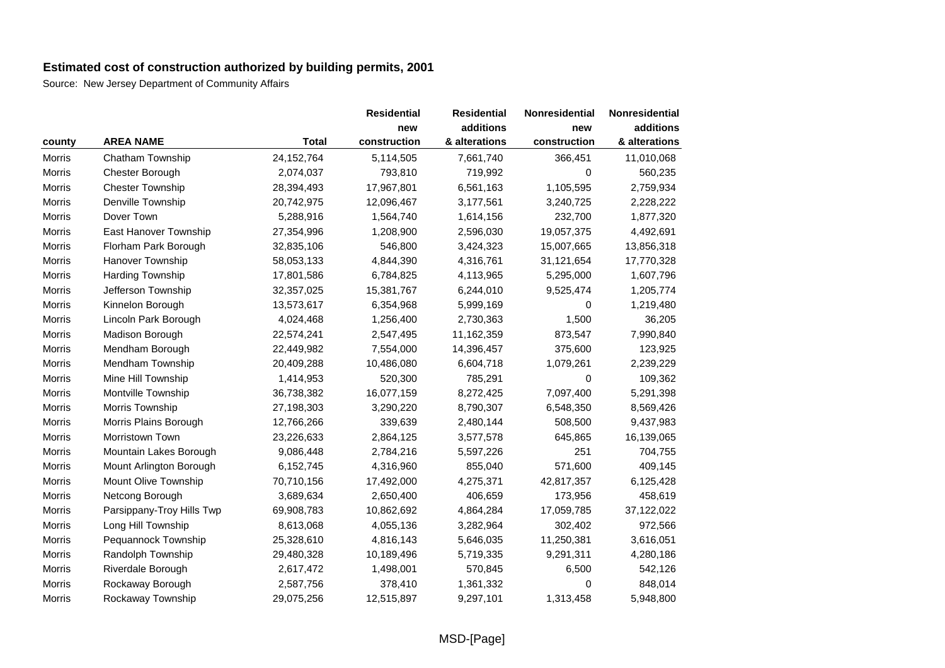|               |                           |              | <b>Residential</b> | <b>Residential</b> | Nonresidential | Nonresidential |
|---------------|---------------------------|--------------|--------------------|--------------------|----------------|----------------|
|               |                           |              | new                | additions          | new            | additions      |
| county        | <b>AREA NAME</b>          | <b>Total</b> | construction       | & alterations      | construction   | & alterations  |
| Morris        | Chatham Township          | 24, 152, 764 | 5,114,505          | 7,661,740          | 366,451        | 11,010,068     |
| Morris        | Chester Borough           | 2,074,037    | 793,810            | 719,992            | 0              | 560,235        |
| <b>Morris</b> | <b>Chester Township</b>   | 28,394,493   | 17,967,801         | 6,561,163          | 1,105,595      | 2,759,934      |
| Morris        | Denville Township         | 20,742,975   | 12,096,467         | 3,177,561          | 3,240,725      | 2,228,222      |
| <b>Morris</b> | Dover Town                | 5,288,916    | 1,564,740          | 1,614,156          | 232,700        | 1,877,320      |
| Morris        | East Hanover Township     | 27,354,996   | 1,208,900          | 2,596,030          | 19,057,375     | 4,492,691      |
| Morris        | Florham Park Borough      | 32,835,106   | 546,800            | 3,424,323          | 15,007,665     | 13,856,318     |
| Morris        | Hanover Township          | 58,053,133   | 4,844,390          | 4,316,761          | 31,121,654     | 17,770,328     |
| Morris        | <b>Harding Township</b>   | 17,801,586   | 6,784,825          | 4,113,965          | 5,295,000      | 1,607,796      |
| Morris        | Jefferson Township        | 32,357,025   | 15,381,767         | 6,244,010          | 9,525,474      | 1,205,774      |
| Morris        | Kinnelon Borough          | 13,573,617   | 6,354,968          | 5,999,169          | 0              | 1,219,480      |
| Morris        | Lincoln Park Borough      | 4,024,468    | 1,256,400          | 2,730,363          | 1,500          | 36,205         |
| Morris        | Madison Borough           | 22,574,241   | 2,547,495          | 11,162,359         | 873,547        | 7,990,840      |
| Morris        | Mendham Borough           | 22,449,982   | 7,554,000          | 14,396,457         | 375,600        | 123,925        |
| Morris        | Mendham Township          | 20,409,288   | 10,486,080         | 6,604,718          | 1,079,261      | 2,239,229      |
| Morris        | Mine Hill Township        | 1,414,953    | 520,300            | 785,291            | 0              | 109,362        |
| Morris        | Montville Township        | 36,738,382   | 16,077,159         | 8,272,425          | 7,097,400      | 5,291,398      |
| <b>Morris</b> | Morris Township           | 27,198,303   | 3,290,220          | 8,790,307          | 6,548,350      | 8,569,426      |
| Morris        | Morris Plains Borough     | 12,766,266   | 339,639            | 2,480,144          | 508,500        | 9,437,983      |
| <b>Morris</b> | <b>Morristown Town</b>    | 23,226,633   | 2,864,125          | 3,577,578          | 645,865        | 16,139,065     |
| Morris        | Mountain Lakes Borough    | 9,086,448    | 2,784,216          | 5,597,226          | 251            | 704,755        |
| Morris        | Mount Arlington Borough   | 6,152,745    | 4,316,960          | 855,040            | 571,600        | 409,145        |
| Morris        | Mount Olive Township      | 70,710,156   | 17,492,000         | 4,275,371          | 42,817,357     | 6,125,428      |
| <b>Morris</b> | Netcong Borough           | 3,689,634    | 2,650,400          | 406,659            | 173,956        | 458,619        |
| Morris        | Parsippany-Troy Hills Twp | 69,908,783   | 10,862,692         | 4,864,284          | 17,059,785     | 37,122,022     |
| Morris        | Long Hill Township        | 8,613,068    | 4,055,136          | 3,282,964          | 302,402        | 972,566        |
| Morris        | Pequannock Township       | 25,328,610   | 4,816,143          | 5,646,035          | 11,250,381     | 3,616,051      |
| Morris        | Randolph Township         | 29,480,328   | 10,189,496         | 5,719,335          | 9,291,311      | 4,280,186      |
| Morris        | Riverdale Borough         | 2,617,472    | 1,498,001          | 570,845            | 6,500          | 542,126        |
| Morris        | Rockaway Borough          | 2,587,756    | 378,410            | 1,361,332          | 0              | 848,014        |
| Morris        | Rockaway Township         | 29,075,256   | 12,515,897         | 9,297,101          | 1,313,458      | 5,948,800      |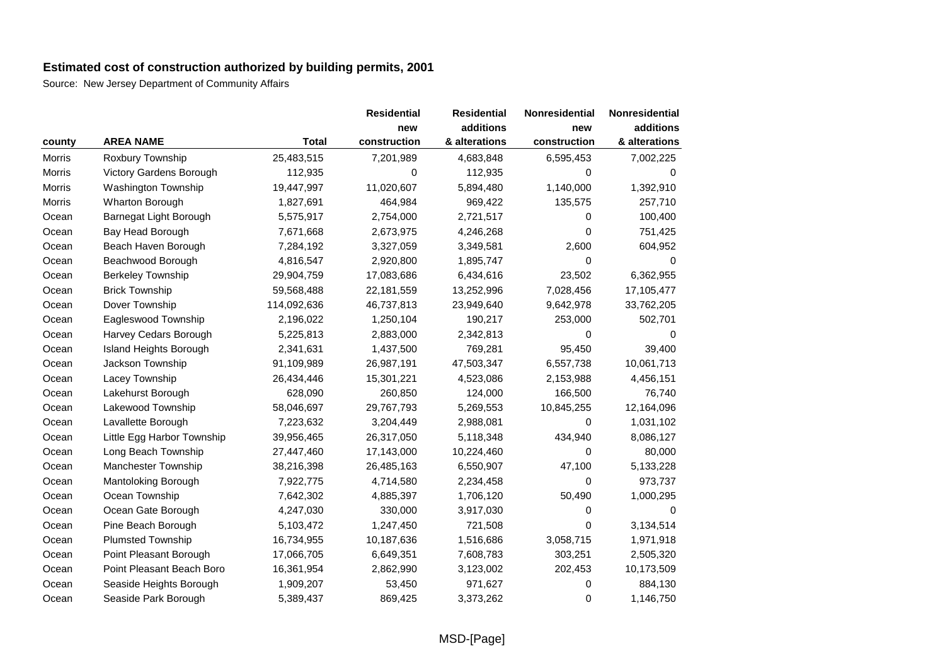|        |                            |              | <b>Residential</b> | <b>Residential</b> | Nonresidential | Nonresidential |
|--------|----------------------------|--------------|--------------------|--------------------|----------------|----------------|
|        |                            |              | new                | additions          | new            | additions      |
| county | <b>AREA NAME</b>           | <b>Total</b> | construction       | & alterations      | construction   | & alterations  |
| Morris | Roxbury Township           | 25,483,515   | 7,201,989          | 4,683,848          | 6,595,453      | 7,002,225      |
| Morris | Victory Gardens Borough    | 112,935      | 0                  | 112,935            | 0              | 0              |
| Morris | Washington Township        | 19,447,997   | 11,020,607         | 5,894,480          | 1,140,000      | 1,392,910      |
| Morris | <b>Wharton Borough</b>     | 1,827,691    | 464,984            | 969,422            | 135,575        | 257,710        |
| Ocean  | Barnegat Light Borough     | 5,575,917    | 2,754,000          | 2,721,517          | 0              | 100,400        |
| Ocean  | Bay Head Borough           | 7,671,668    | 2,673,975          | 4,246,268          | 0              | 751,425        |
| Ocean  | Beach Haven Borough        | 7,284,192    | 3,327,059          | 3,349,581          | 2,600          | 604,952        |
| Ocean  | Beachwood Borough          | 4,816,547    | 2,920,800          | 1,895,747          | 0              | 0              |
| Ocean  | <b>Berkeley Township</b>   | 29,904,759   | 17,083,686         | 6,434,616          | 23,502         | 6,362,955      |
| Ocean  | <b>Brick Township</b>      | 59,568,488   | 22,181,559         | 13,252,996         | 7,028,456      | 17,105,477     |
| Ocean  | Dover Township             | 114,092,636  | 46,737,813         | 23,949,640         | 9,642,978      | 33,762,205     |
| Ocean  | Eagleswood Township        | 2,196,022    | 1,250,104          | 190,217            | 253,000        | 502,701        |
| Ocean  | Harvey Cedars Borough      | 5,225,813    | 2,883,000          | 2,342,813          | 0              | 0              |
| Ocean  | Island Heights Borough     | 2,341,631    | 1,437,500          | 769,281            | 95,450         | 39,400         |
| Ocean  | Jackson Township           | 91,109,989   | 26,987,191         | 47,503,347         | 6,557,738      | 10,061,713     |
| Ocean  | Lacey Township             | 26,434,446   | 15,301,221         | 4,523,086          | 2,153,988      | 4,456,151      |
| Ocean  | Lakehurst Borough          | 628,090      | 260,850            | 124,000            | 166,500        | 76,740         |
| Ocean  | Lakewood Township          | 58,046,697   | 29,767,793         | 5,269,553          | 10,845,255     | 12,164,096     |
| Ocean  | Lavallette Borough         | 7,223,632    | 3,204,449          | 2,988,081          | 0              | 1,031,102      |
| Ocean  | Little Egg Harbor Township | 39,956,465   | 26,317,050         | 5,118,348          | 434,940        | 8,086,127      |
| Ocean  | Long Beach Township        | 27,447,460   | 17,143,000         | 10,224,460         | 0              | 80,000         |
| Ocean  | Manchester Township        | 38,216,398   | 26,485,163         | 6,550,907          | 47,100         | 5,133,228      |
| Ocean  | Mantoloking Borough        | 7,922,775    | 4,714,580          | 2,234,458          | 0              | 973,737        |
| Ocean  | Ocean Township             | 7,642,302    | 4,885,397          | 1,706,120          | 50,490         | 1,000,295      |
| Ocean  | Ocean Gate Borough         | 4,247,030    | 330,000            | 3,917,030          | 0              | $\Omega$       |
| Ocean  | Pine Beach Borough         | 5,103,472    | 1,247,450          | 721,508            | 0              | 3,134,514      |
| Ocean  | <b>Plumsted Township</b>   | 16,734,955   | 10,187,636         | 1,516,686          | 3,058,715      | 1,971,918      |
| Ocean  | Point Pleasant Borough     | 17,066,705   | 6,649,351          | 7,608,783          | 303,251        | 2,505,320      |
| Ocean  | Point Pleasant Beach Boro  | 16,361,954   | 2,862,990          | 3,123,002          | 202,453        | 10,173,509     |
| Ocean  | Seaside Heights Borough    | 1,909,207    | 53,450             | 971,627            | 0              | 884,130        |
| Ocean  | Seaside Park Borough       | 5,389,437    | 869,425            | 3,373,262          | 0              | 1,146,750      |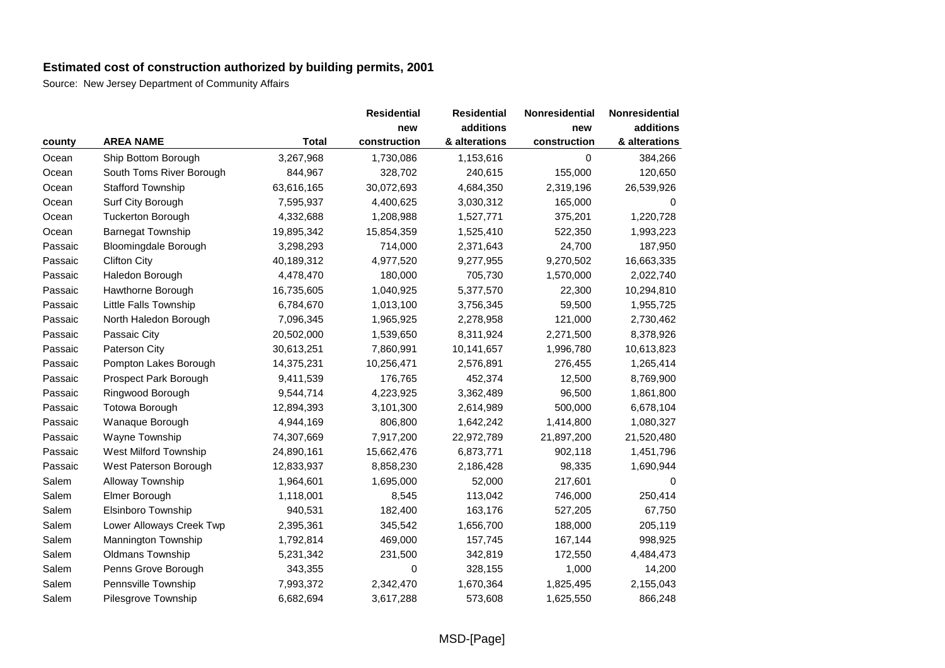|         |                          |              | <b>Residential</b> | <b>Residential</b> | Nonresidential | Nonresidential |
|---------|--------------------------|--------------|--------------------|--------------------|----------------|----------------|
|         |                          |              | new                | additions          | new            | additions      |
| county  | <b>AREA NAME</b>         | <b>Total</b> | construction       | & alterations      | construction   | & alterations  |
| Ocean   | Ship Bottom Borough      | 3,267,968    | 1,730,086          | 1,153,616          | 0              | 384,266        |
| Ocean   | South Toms River Borough | 844,967      | 328,702            | 240,615            | 155,000        | 120,650        |
| Ocean   | <b>Stafford Township</b> | 63,616,165   | 30,072,693         | 4,684,350          | 2,319,196      | 26,539,926     |
| Ocean   | Surf City Borough        | 7,595,937    | 4,400,625          | 3,030,312          | 165,000        | 0              |
| Ocean   | <b>Tuckerton Borough</b> | 4,332,688    | 1,208,988          | 1,527,771          | 375,201        | 1,220,728      |
| Ocean   | <b>Barnegat Township</b> | 19,895,342   | 15,854,359         | 1,525,410          | 522,350        | 1,993,223      |
| Passaic | Bloomingdale Borough     | 3,298,293    | 714,000            | 2,371,643          | 24,700         | 187,950        |
| Passaic | <b>Clifton City</b>      | 40,189,312   | 4,977,520          | 9,277,955          | 9,270,502      | 16,663,335     |
| Passaic | Haledon Borough          | 4,478,470    | 180,000            | 705,730            | 1,570,000      | 2,022,740      |
| Passaic | Hawthorne Borough        | 16,735,605   | 1,040,925          | 5,377,570          | 22,300         | 10,294,810     |
| Passaic | Little Falls Township    | 6,784,670    | 1,013,100          | 3,756,345          | 59,500         | 1,955,725      |
| Passaic | North Haledon Borough    | 7,096,345    | 1,965,925          | 2,278,958          | 121,000        | 2,730,462      |
| Passaic | Passaic City             | 20,502,000   | 1,539,650          | 8,311,924          | 2,271,500      | 8,378,926      |
| Passaic | Paterson City            | 30,613,251   | 7,860,991          | 10,141,657         | 1,996,780      | 10,613,823     |
| Passaic | Pompton Lakes Borough    | 14,375,231   | 10,256,471         | 2,576,891          | 276,455        | 1,265,414      |
| Passaic | Prospect Park Borough    | 9,411,539    | 176,765            | 452,374            | 12,500         | 8,769,900      |
| Passaic | Ringwood Borough         | 9,544,714    | 4,223,925          | 3,362,489          | 96,500         | 1,861,800      |
| Passaic | Totowa Borough           | 12,894,393   | 3,101,300          | 2,614,989          | 500,000        | 6,678,104      |
| Passaic | Wanaque Borough          | 4,944,169    | 806,800            | 1,642,242          | 1,414,800      | 1,080,327      |
| Passaic | Wayne Township           | 74,307,669   | 7,917,200          | 22,972,789         | 21,897,200     | 21,520,480     |
| Passaic | West Milford Township    | 24,890,161   | 15,662,476         | 6,873,771          | 902,118        | 1,451,796      |
| Passaic | West Paterson Borough    | 12,833,937   | 8,858,230          | 2,186,428          | 98,335         | 1,690,944      |
| Salem   | Alloway Township         | 1,964,601    | 1,695,000          | 52,000             | 217,601        | $\Omega$       |
| Salem   | Elmer Borough            | 1,118,001    | 8,545              | 113,042            | 746,000        | 250,414        |
| Salem   | Elsinboro Township       | 940,531      | 182,400            | 163,176            | 527,205        | 67,750         |
| Salem   | Lower Alloways Creek Twp | 2,395,361    | 345,542            | 1,656,700          | 188,000        | 205,119        |
| Salem   | Mannington Township      | 1,792,814    | 469,000            | 157,745            | 167,144        | 998,925        |
| Salem   | Oldmans Township         | 5,231,342    | 231,500            | 342,819            | 172,550        | 4,484,473      |
| Salem   | Penns Grove Borough      | 343,355      | 0                  | 328,155            | 1,000          | 14,200         |
| Salem   | Pennsville Township      | 7,993,372    | 2,342,470          | 1,670,364          | 1,825,495      | 2,155,043      |
| Salem   | Pilesgrove Township      | 6,682,694    | 3,617,288          | 573,608            | 1,625,550      | 866,248        |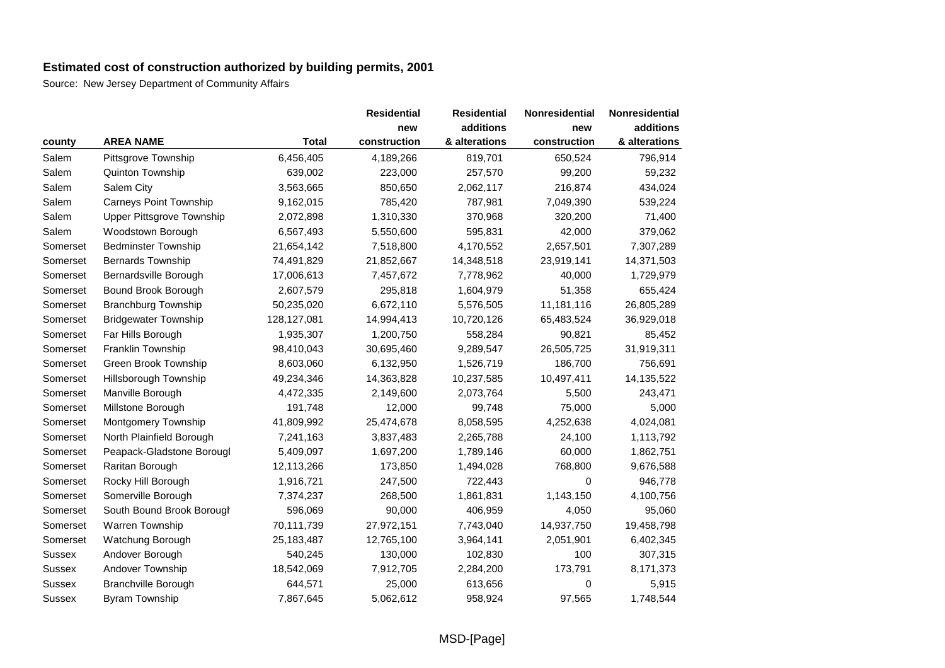|               |                                  |              | <b>Residential</b> | <b>Residential</b> | <b>Nonresidential</b> | Nonresidential |
|---------------|----------------------------------|--------------|--------------------|--------------------|-----------------------|----------------|
|               |                                  |              | new                | additions          | new                   | additions      |
| county        | <b>AREA NAME</b>                 | <b>Total</b> | construction       | & alterations      | construction          | & alterations  |
| Salem         | Pittsgrove Township              | 6,456,405    | 4,189,266          | 819,701            | 650,524               | 796,914        |
| Salem         | Quinton Township                 | 639,002      | 223,000            | 257,570            | 99,200                | 59,232         |
| Salem         | Salem City                       | 3,563,665    | 850,650            | 2,062,117          | 216,874               | 434,024        |
| Salem         | Carneys Point Township           | 9,162,015    | 785,420            | 787,981            | 7,049,390             | 539,224        |
| Salem         | <b>Upper Pittsgrove Township</b> | 2,072,898    | 1,310,330          | 370,968            | 320,200               | 71,400         |
| Salem         | Woodstown Borough                | 6,567,493    | 5,550,600          | 595,831            | 42,000                | 379,062        |
| Somerset      | <b>Bedminster Township</b>       | 21,654,142   | 7,518,800          | 4,170,552          | 2,657,501             | 7,307,289      |
| Somerset      | <b>Bernards Township</b>         | 74,491,829   | 21,852,667         | 14,348,518         | 23,919,141            | 14,371,503     |
| Somerset      | Bernardsville Borough            | 17,006,613   | 7,457,672          | 7,778,962          | 40,000                | 1,729,979      |
| Somerset      | Bound Brook Borough              | 2,607,579    | 295,818            | 1,604,979          | 51,358                | 655,424        |
| Somerset      | <b>Branchburg Township</b>       | 50,235,020   | 6,672,110          | 5,576,505          | 11,181,116            | 26,805,289     |
| Somerset      | <b>Bridgewater Township</b>      | 128,127,081  | 14,994,413         | 10,720,126         | 65,483,524            | 36,929,018     |
| Somerset      | Far Hills Borough                | 1,935,307    | 1,200,750          | 558,284            | 90,821                | 85,452         |
| Somerset      | Franklin Township                | 98,410,043   | 30,695,460         | 9,289,547          | 26,505,725            | 31,919,311     |
| Somerset      | Green Brook Township             | 8,603,060    | 6,132,950          | 1,526,719          | 186,700               | 756,691        |
| Somerset      | Hillsborough Township            | 49,234,346   | 14,363,828         | 10,237,585         | 10,497,411            | 14,135,522     |
| Somerset      | Manville Borough                 | 4,472,335    | 2,149,600          | 2,073,764          | 5,500                 | 243,471        |
| Somerset      | Millstone Borough                | 191,748      | 12,000             | 99,748             | 75,000                | 5,000          |
| Somerset      | Montgomery Township              | 41,809,992   | 25,474,678         | 8,058,595          | 4,252,638             | 4,024,081      |
| Somerset      | North Plainfield Borough         | 7,241,163    | 3,837,483          | 2,265,788          | 24,100                | 1,113,792      |
| Somerset      | Peapack-Gladstone Borougl        | 5,409,097    | 1,697,200          | 1,789,146          | 60,000                | 1,862,751      |
| Somerset      | Raritan Borough                  | 12,113,266   | 173,850            | 1,494,028          | 768,800               | 9,676,588      |
| Somerset      | Rocky Hill Borough               | 1,916,721    | 247,500            | 722,443            | 0                     | 946,778        |
| Somerset      | Somerville Borough               | 7,374,237    | 268,500            | 1,861,831          | 1,143,150             | 4,100,756      |
| Somerset      | South Bound Brook Borough        | 596,069      | 90,000             | 406,959            | 4,050                 | 95,060         |
| Somerset      | Warren Township                  | 70,111,739   | 27,972,151         | 7,743,040          | 14,937,750            | 19,458,798     |
| Somerset      | Watchung Borough                 | 25, 183, 487 | 12,765,100         | 3,964,141          | 2,051,901             | 6,402,345      |
| <b>Sussex</b> | Andover Borough                  | 540,245      | 130,000            | 102,830            | 100                   | 307,315        |
| <b>Sussex</b> | Andover Township                 | 18,542,069   | 7,912,705          | 2,284,200          | 173,791               | 8,171,373      |
| <b>Sussex</b> | <b>Branchville Borough</b>       | 644,571      | 25,000             | 613,656            | 0                     | 5,915          |
| <b>Sussex</b> | <b>Byram Township</b>            | 7,867,645    | 5,062,612          | 958,924            | 97,565                | 1,748,544      |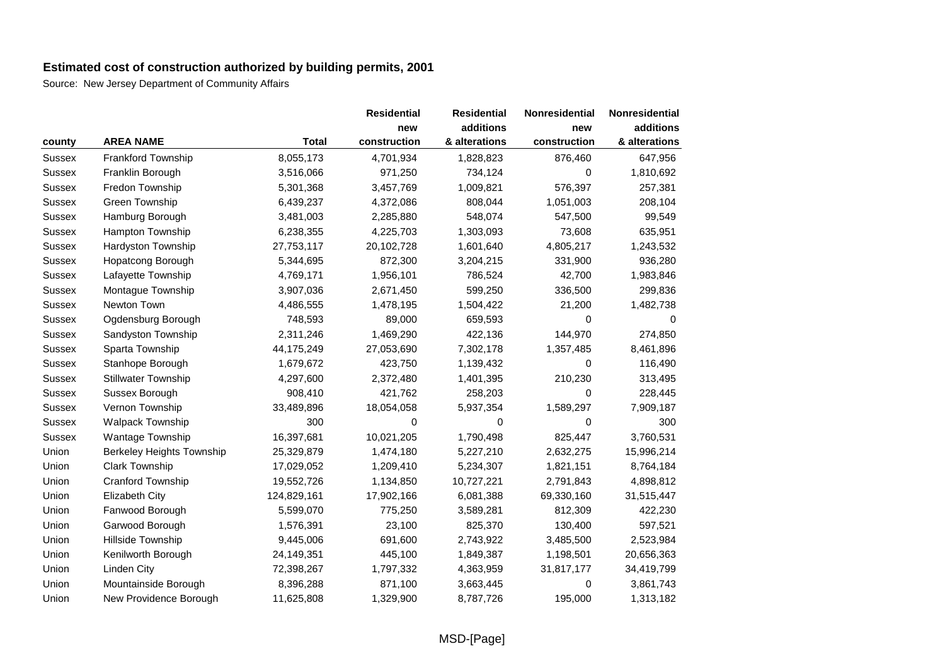|               |                                  |              | <b>Residential</b><br>new | <b>Residential</b><br>additions | <b>Nonresidential</b><br>new | Nonresidential<br>additions |
|---------------|----------------------------------|--------------|---------------------------|---------------------------------|------------------------------|-----------------------------|
|               |                                  |              |                           |                                 |                              |                             |
| county        | <b>AREA NAME</b>                 | <b>Total</b> | construction              | & alterations                   | construction                 | & alterations               |
| <b>Sussex</b> | Frankford Township               | 8,055,173    | 4,701,934                 | 1,828,823                       | 876,460                      | 647,956                     |
| Sussex        | Franklin Borough                 | 3,516,066    | 971,250                   | 734,124                         | 0                            | 1,810,692                   |
| <b>Sussex</b> | Fredon Township                  | 5,301,368    | 3,457,769                 | 1,009,821                       | 576,397                      | 257,381                     |
| <b>Sussex</b> | Green Township                   | 6,439,237    | 4,372,086                 | 808,044                         | 1,051,003                    | 208,104                     |
| Sussex        | Hamburg Borough                  | 3,481,003    | 2,285,880                 | 548,074                         | 547,500                      | 99,549                      |
| <b>Sussex</b> | Hampton Township                 | 6,238,355    | 4,225,703                 | 1,303,093                       | 73,608                       | 635,951                     |
| <b>Sussex</b> | Hardyston Township               | 27,753,117   | 20,102,728                | 1,601,640                       | 4,805,217                    | 1,243,532                   |
| <b>Sussex</b> | Hopatcong Borough                | 5,344,695    | 872,300                   | 3,204,215                       | 331,900                      | 936,280                     |
| <b>Sussex</b> | Lafayette Township               | 4,769,171    | 1,956,101                 | 786,524                         | 42,700                       | 1,983,846                   |
| <b>Sussex</b> | Montague Township                | 3,907,036    | 2,671,450                 | 599,250                         | 336,500                      | 299,836                     |
| <b>Sussex</b> | Newton Town                      | 4,486,555    | 1,478,195                 | 1,504,422                       | 21,200                       | 1,482,738                   |
| <b>Sussex</b> | Ogdensburg Borough               | 748,593      | 89,000                    | 659,593                         | 0                            | 0                           |
| Sussex        | Sandyston Township               | 2,311,246    | 1,469,290                 | 422,136                         | 144,970                      | 274,850                     |
| <b>Sussex</b> | Sparta Township                  | 44,175,249   | 27,053,690                | 7,302,178                       | 1,357,485                    | 8,461,896                   |
| <b>Sussex</b> | Stanhope Borough                 | 1,679,672    | 423,750                   | 1,139,432                       | 0                            | 116,490                     |
| Sussex        | <b>Stillwater Township</b>       | 4,297,600    | 2,372,480                 | 1,401,395                       | 210,230                      | 313,495                     |
| <b>Sussex</b> | Sussex Borough                   | 908,410      | 421,762                   | 258,203                         | $\Omega$                     | 228,445                     |
| <b>Sussex</b> | Vernon Township                  | 33,489,896   | 18,054,058                | 5,937,354                       | 1,589,297                    | 7,909,187                   |
| <b>Sussex</b> | <b>Walpack Township</b>          | 300          | 0                         | 0                               | 0                            | 300                         |
| <b>Sussex</b> | Wantage Township                 | 16,397,681   | 10,021,205                | 1,790,498                       | 825,447                      | 3,760,531                   |
| Union         | <b>Berkeley Heights Township</b> | 25,329,879   | 1,474,180                 | 5,227,210                       | 2,632,275                    | 15,996,214                  |
| Union         | <b>Clark Township</b>            | 17,029,052   | 1,209,410                 | 5,234,307                       | 1,821,151                    | 8,764,184                   |
| Union         | Cranford Township                | 19,552,726   | 1,134,850                 | 10,727,221                      | 2,791,843                    | 4,898,812                   |
| Union         | Elizabeth City                   | 124,829,161  | 17,902,166                | 6,081,388                       | 69,330,160                   | 31,515,447                  |
| Union         | Fanwood Borough                  | 5,599,070    | 775,250                   | 3,589,281                       | 812,309                      | 422,230                     |
| Union         | Garwood Borough                  | 1,576,391    | 23,100                    | 825,370                         | 130,400                      | 597,521                     |
| Union         | Hillside Township                | 9,445,006    | 691,600                   | 2,743,922                       | 3,485,500                    | 2,523,984                   |
| Union         | Kenilworth Borough               | 24,149,351   | 445,100                   | 1,849,387                       | 1,198,501                    | 20,656,363                  |
| Union         | <b>Linden City</b>               | 72,398,267   | 1,797,332                 | 4,363,959                       | 31,817,177                   | 34,419,799                  |
| Union         | Mountainside Borough             | 8,396,288    | 871,100                   | 3,663,445                       | 0                            | 3,861,743                   |
| Union         | New Providence Borough           | 11,625,808   | 1,329,900                 | 8,787,726                       | 195,000                      | 1,313,182                   |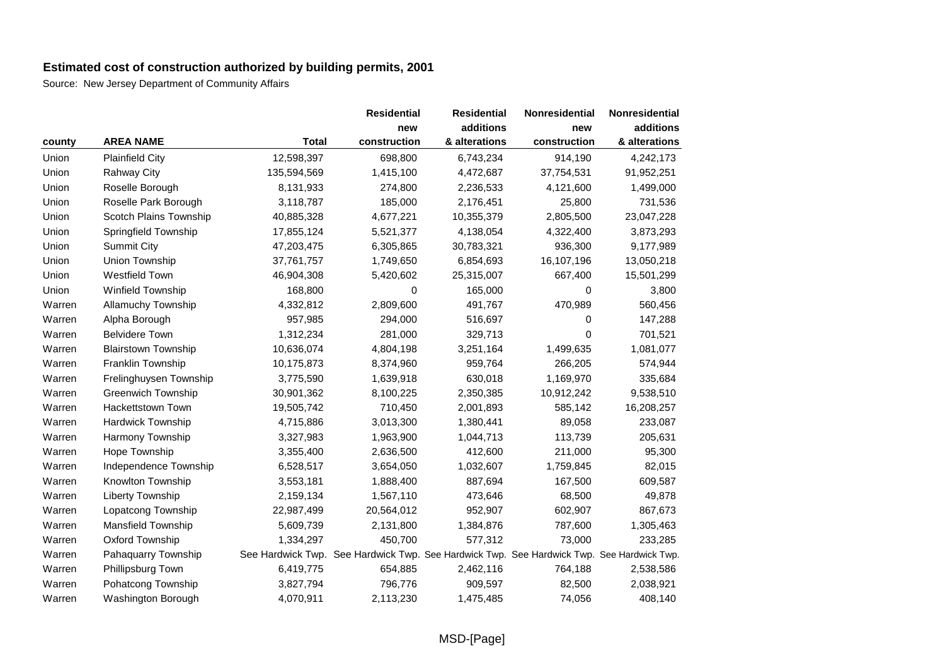|        |                            |              | <b>Residential</b>                                                                        | <b>Residential</b> | Nonresidential | Nonresidential |
|--------|----------------------------|--------------|-------------------------------------------------------------------------------------------|--------------------|----------------|----------------|
|        |                            |              | new                                                                                       | additions          | new            | additions      |
| county | <b>AREA NAME</b>           | <b>Total</b> | construction                                                                              | & alterations      | construction   | & alterations  |
| Union  | <b>Plainfield City</b>     | 12,598,397   | 698,800                                                                                   | 6,743,234          | 914,190        | 4,242,173      |
| Union  | <b>Rahway City</b>         | 135,594,569  | 1,415,100                                                                                 | 4,472,687          | 37,754,531     | 91,952,251     |
| Union  | Roselle Borough            | 8,131,933    | 274,800                                                                                   | 2,236,533          | 4,121,600      | 1,499,000      |
| Union  | Roselle Park Borough       | 3,118,787    | 185,000                                                                                   | 2,176,451          | 25,800         | 731,536        |
| Union  | Scotch Plains Township     | 40,885,328   | 4,677,221                                                                                 | 10,355,379         | 2,805,500      | 23,047,228     |
| Union  | Springfield Township       | 17,855,124   | 5,521,377                                                                                 | 4,138,054          | 4,322,400      | 3,873,293      |
| Union  | <b>Summit City</b>         | 47,203,475   | 6,305,865                                                                                 | 30,783,321         | 936,300        | 9,177,989      |
| Union  | Union Township             | 37,761,757   | 1,749,650                                                                                 | 6,854,693          | 16,107,196     | 13,050,218     |
| Union  | Westfield Town             | 46,904,308   | 5,420,602                                                                                 | 25,315,007         | 667,400        | 15,501,299     |
| Union  | Winfield Township          | 168,800      | 0                                                                                         | 165,000            | 0              | 3,800          |
| Warren | <b>Allamuchy Township</b>  | 4,332,812    | 2,809,600                                                                                 | 491,767            | 470,989        | 560,456        |
| Warren | Alpha Borough              | 957,985      | 294,000                                                                                   | 516,697            | 0              | 147,288        |
| Warren | <b>Belvidere Town</b>      | 1,312,234    | 281,000                                                                                   | 329,713            | 0              | 701,521        |
| Warren | <b>Blairstown Township</b> | 10,636,074   | 4,804,198                                                                                 | 3,251,164          | 1,499,635      | 1,081,077      |
| Warren | Franklin Township          | 10,175,873   | 8,374,960                                                                                 | 959,764            | 266,205        | 574,944        |
| Warren | Frelinghuysen Township     | 3,775,590    | 1,639,918                                                                                 | 630,018            | 1,169,970      | 335,684        |
| Warren | <b>Greenwich Township</b>  | 30,901,362   | 8,100,225                                                                                 | 2,350,385          | 10,912,242     | 9,538,510      |
| Warren | Hackettstown Town          | 19,505,742   | 710,450                                                                                   | 2,001,893          | 585,142        | 16,208,257     |
| Warren | Hardwick Township          | 4,715,886    | 3,013,300                                                                                 | 1,380,441          | 89,058         | 233,087        |
| Warren | Harmony Township           | 3,327,983    | 1,963,900                                                                                 | 1,044,713          | 113,739        | 205,631        |
| Warren | Hope Township              | 3,355,400    | 2,636,500                                                                                 | 412,600            | 211,000        | 95,300         |
| Warren | Independence Township      | 6,528,517    | 3,654,050                                                                                 | 1,032,607          | 1,759,845      | 82,015         |
| Warren | Knowlton Township          | 3,553,181    | 1,888,400                                                                                 | 887,694            | 167,500        | 609,587        |
| Warren | Liberty Township           | 2,159,134    | 1,567,110                                                                                 | 473,646            | 68,500         | 49,878         |
| Warren | Lopatcong Township         | 22,987,499   | 20,564,012                                                                                | 952,907            | 602,907        | 867,673        |
| Warren | Mansfield Township         | 5,609,739    | 2,131,800                                                                                 | 1,384,876          | 787,600        | 1,305,463      |
| Warren | Oxford Township            | 1,334,297    | 450,700                                                                                   | 577,312            | 73,000         | 233,285        |
| Warren | Pahaquarry Township        |              | See Hardwick Twp. See Hardwick Twp. See Hardwick Twp. See Hardwick Twp. See Hardwick Twp. |                    |                |                |
| Warren | Phillipsburg Town          | 6,419,775    | 654,885                                                                                   | 2,462,116          | 764,188        | 2,538,586      |
| Warren | Pohatcong Township         | 3,827,794    | 796,776                                                                                   | 909,597            | 82,500         | 2,038,921      |
| Warren | Washington Borough         | 4,070,911    | 2,113,230                                                                                 | 1,475,485          | 74,056         | 408,140        |